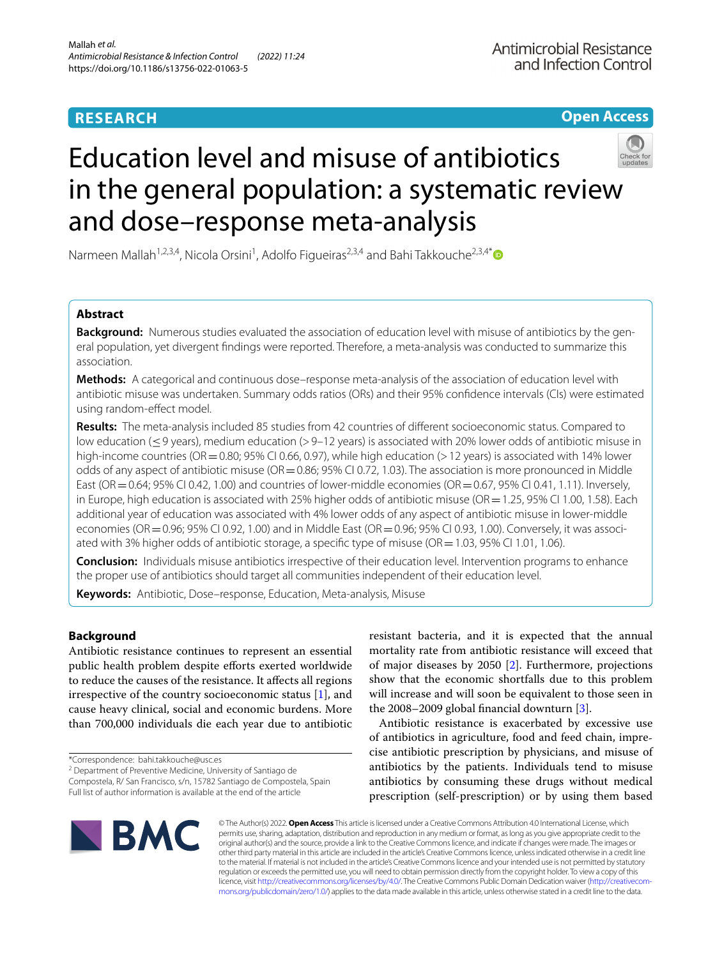# **RESEARCH**

**Open Access**

# Education level and misuse of antibiotics in the general population: a systematic review and dose–response meta-analysis



Narmeen Mallah<sup>1,2,3,4</sup>, Nicola Orsini<sup>1</sup>, Adolfo Figueiras<sup>2,3,4</sup> and Bahi Takkouche<sup>2,3,4[\\*](http://orcid.org/0000-0002-0739-2241)</sup>

# **Abstract**

**Background:** Numerous studies evaluated the association of education level with misuse of antibiotics by the general population, yet divergent fndings were reported. Therefore, a meta-analysis was conducted to summarize this association.

**Methods:** A categorical and continuous dose–response meta-analysis of the association of education level with antibiotic misuse was undertaken. Summary odds ratios (ORs) and their 95% confdence intervals (CIs) were estimated using random-efect model.

**Results:** The meta-analysis included 85 studies from 42 countries of diferent socioeconomic status. Compared to low education (≤9 years), medium education (>9–12 years) is associated with 20% lower odds of antibiotic misuse in high-income countries (OR = 0.80; 95% CI 0.66, 0.97), while high education (> 12 years) is associated with 14% lower odds of any aspect of antibiotic misuse ( $OR = 0.86$ ; 95% CI 0.72, 1.03). The association is more pronounced in Middle East (OR  $=$  0.64; 95% CI 0.42, 1.00) and countries of lower-middle economies (OR  $=$  0.67, 95% CI 0.41, 1.11). Inversely, in Europe, high education is associated with 25% higher odds of antibiotic misuse (OR = 1.25, 95% CI 1.00, 1.58). Each additional year of education was associated with 4% lower odds of any aspect of antibiotic misuse in lower-middle economies (OR=0.96; 95% CI 0.92, 1.00) and in Middle East (OR=0.96; 95% CI 0.93, 1.00). Conversely, it was associated with 3% higher odds of antibiotic storage, a specifc type of misuse (OR=1.03, 95% CI 1.01, 1.06).

**Conclusion:** Individuals misuse antibiotics irrespective of their education level. Intervention programs to enhance the proper use of antibiotics should target all communities independent of their education level.

**Keywords:** Antibiotic, Dose–response, Education, Meta-analysis, Misuse

# **Background**

Antibiotic resistance continues to represent an essential public health problem despite eforts exerted worldwide to reduce the causes of the resistance. It afects all regions irrespective of the country socioeconomic status [\[1](#page-20-0)], and cause heavy clinical, social and economic burdens. More than 700,000 individuals die each year due to antibiotic

\*Correspondence: bahi.takkouche@usc.es

<sup>2</sup> Department of Preventive Medicine, University of Santiago de Compostela, R/ San Francisco, s/n, 15782 Santiago de Compostela, Spain Full list of author information is available at the end of the article

resistant bacteria, and it is expected that the annual mortality rate from antibiotic resistance will exceed that of major diseases by 2050 [\[2](#page-20-1)]. Furthermore, projections show that the economic shortfalls due to this problem will increase and will soon be equivalent to those seen in the 2008–2009 global fnancial downturn [\[3\]](#page-20-2).

Antibiotic resistance is exacerbated by excessive use of antibiotics in agriculture, food and feed chain, imprecise antibiotic prescription by physicians, and misuse of antibiotics by the patients. Individuals tend to misuse antibiotics by consuming these drugs without medical prescription (self-prescription) or by using them based



© The Author(s) 2022. **Open Access** This article is licensed under a Creative Commons Attribution 4.0 International License, which permits use, sharing, adaptation, distribution and reproduction in any medium or format, as long as you give appropriate credit to the original author(s) and the source, provide a link to the Creative Commons licence, and indicate if changes were made. The images or other third party material in this article are included in the article's Creative Commons licence, unless indicated otherwise in a credit line to the material. If material is not included in the article's Creative Commons licence and your intended use is not permitted by statutory regulation or exceeds the permitted use, you will need to obtain permission directly from the copyright holder. To view a copy of this licence, visit [http://creativecommons.org/licenses/by/4.0/.](http://creativecommons.org/licenses/by/4.0/) The Creative Commons Public Domain Dedication waiver ([http://creativecom](http://creativecommons.org/publicdomain/zero/1.0/)[mons.org/publicdomain/zero/1.0/\)](http://creativecommons.org/publicdomain/zero/1.0/) applies to the data made available in this article, unless otherwise stated in a credit line to the data.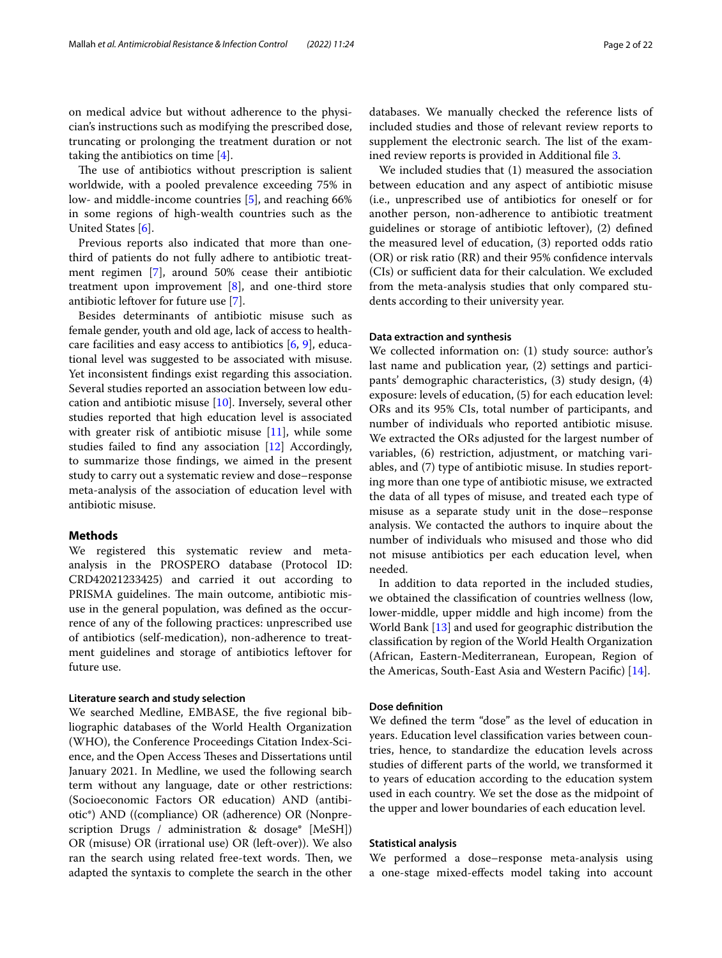on medical advice but without adherence to the physician's instructions such as modifying the prescribed dose, truncating or prolonging the treatment duration or not taking the antibiotics on time  $[4]$  $[4]$ .

The use of antibiotics without prescription is salient worldwide, with a pooled prevalence exceeding 75% in low- and middle-income countries [[5\]](#page-20-4), and reaching 66% in some regions of high-wealth countries such as the United States [[6\]](#page-20-5).

Previous reports also indicated that more than onethird of patients do not fully adhere to antibiotic treatment regimen [\[7](#page-20-6)], around 50% cease their antibiotic treatment upon improvement [\[8](#page-20-7)], and one-third store antibiotic leftover for future use [\[7\]](#page-20-6).

Besides determinants of antibiotic misuse such as female gender, youth and old age, lack of access to healthcare facilities and easy access to antibiotics [[6,](#page-20-5) [9\]](#page-20-8), educational level was suggested to be associated with misuse. Yet inconsistent fndings exist regarding this association. Several studies reported an association between low education and antibiotic misuse [[10](#page-20-9)]. Inversely, several other studies reported that high education level is associated with greater risk of antibiotic misuse [\[11\]](#page-20-10), while some studies failed to fnd any association [[12\]](#page-20-11) Accordingly, to summarize those fndings, we aimed in the present study to carry out a systematic review and dose–response meta-analysis of the association of education level with antibiotic misuse.

## **Methods**

We registered this systematic review and metaanalysis in the PROSPERO database (Protocol ID: CRD42021233425) and carried it out according to PRISMA guidelines. The main outcome, antibiotic misuse in the general population, was defned as the occurrence of any of the following practices: unprescribed use of antibiotics (self-medication), non-adherence to treatment guidelines and storage of antibiotics leftover for future use.

#### **Literature search and study selection**

We searched Medline, EMBASE, the five regional bibliographic databases of the World Health Organization (WHO), the Conference Proceedings Citation Index-Science, and the Open Access Theses and Dissertations until January 2021. In Medline, we used the following search term without any language, date or other restrictions: (Socioeconomic Factors OR education) AND (antibiotic\*) AND ((compliance) OR (adherence) OR (Nonprescription Drugs / administration & dosage\* [MeSH]) OR (misuse) OR (irrational use) OR (left-over)). We also ran the search using related free-text words. Then, we adapted the syntaxis to complete the search in the other databases. We manually checked the reference lists of included studies and those of relevant review reports to supplement the electronic search. The list of the examined review reports is provided in Additional fle [3](#page-19-0).

We included studies that (1) measured the association between education and any aspect of antibiotic misuse (i.e., unprescribed use of antibiotics for oneself or for another person, non-adherence to antibiotic treatment guidelines or storage of antibiotic leftover), (2) defned the measured level of education, (3) reported odds ratio (OR) or risk ratio (RR) and their 95% confdence intervals (CIs) or sufficient data for their calculation. We excluded from the meta-analysis studies that only compared students according to their university year.

#### **Data extraction and synthesis**

We collected information on: (1) study source: author's last name and publication year, (2) settings and participants' demographic characteristics, (3) study design, (4) exposure: levels of education, (5) for each education level: ORs and its 95% CIs, total number of participants, and number of individuals who reported antibiotic misuse. We extracted the ORs adjusted for the largest number of variables, (6) restriction, adjustment, or matching variables, and (7) type of antibiotic misuse. In studies reporting more than one type of antibiotic misuse, we extracted the data of all types of misuse, and treated each type of misuse as a separate study unit in the dose–response analysis. We contacted the authors to inquire about the number of individuals who misused and those who did not misuse antibiotics per each education level, when needed.

In addition to data reported in the included studies, we obtained the classifcation of countries wellness (low, lower-middle, upper middle and high income) from the World Bank [\[13](#page-20-12)] and used for geographic distribution the classifcation by region of the World Health Organization (African, Eastern-Mediterranean, European, Region of the Americas, South-East Asia and Western Pacifc) [\[14](#page-20-13)].

## **Dose defnition**

We defned the term "dose" as the level of education in years. Education level classifcation varies between countries, hence, to standardize the education levels across studies of diferent parts of the world, we transformed it to years of education according to the education system used in each country. We set the dose as the midpoint of the upper and lower boundaries of each education level.

#### **Statistical analysis**

We performed a dose–response meta-analysis using a one-stage mixed-efects model taking into account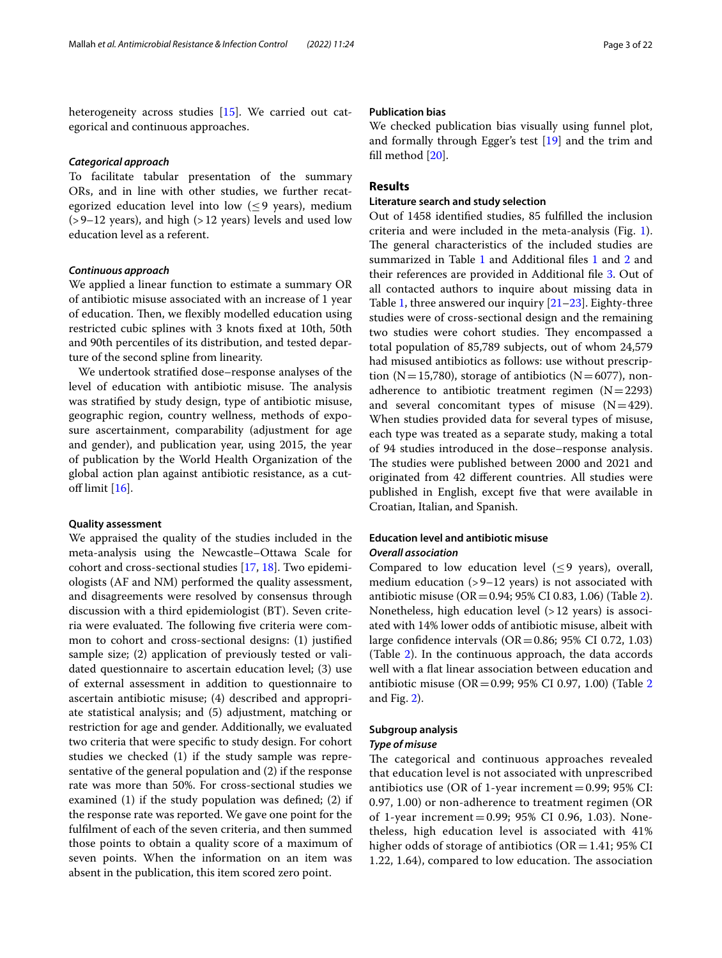heterogeneity across studies [\[15\]](#page-20-14). We carried out categorical and continuous approaches.

#### *Categorical approach*

To facilitate tabular presentation of the summary ORs, and in line with other studies, we further recategorized education level into low  $(\leq 9$  years), medium  $(>9-12$  years), and high  $(>12$  years) levels and used low education level as a referent.

#### *Continuous approach*

We applied a linear function to estimate a summary OR of antibiotic misuse associated with an increase of 1 year of education. Then, we flexibly modelled education using restricted cubic splines with 3 knots fxed at 10th, 50th and 90th percentiles of its distribution, and tested departure of the second spline from linearity.

We undertook stratifed dose–response analyses of the level of education with antibiotic misuse. The analysis was stratifed by study design, type of antibiotic misuse, geographic region, country wellness, methods of exposure ascertainment, comparability (adjustment for age and gender), and publication year, using 2015, the year of publication by the World Health Organization of the global action plan against antibiotic resistance, as a cutoff limit  $[16]$  $[16]$  $[16]$ .

#### **Quality assessment**

We appraised the quality of the studies included in the meta-analysis using the Newcastle–Ottawa Scale for cohort and cross-sectional studies [[17](#page-20-16), [18\]](#page-20-17). Two epidemiologists (AF and NM) performed the quality assessment, and disagreements were resolved by consensus through discussion with a third epidemiologist (BT). Seven criteria were evaluated. The following five criteria were common to cohort and cross-sectional designs: (1) justifed sample size; (2) application of previously tested or validated questionnaire to ascertain education level; (3) use of external assessment in addition to questionnaire to ascertain antibiotic misuse; (4) described and appropriate statistical analysis; and (5) adjustment, matching or restriction for age and gender. Additionally, we evaluated two criteria that were specifc to study design. For cohort studies we checked (1) if the study sample was representative of the general population and (2) if the response rate was more than 50%. For cross-sectional studies we examined (1) if the study population was defned; (2) if the response rate was reported. We gave one point for the fulflment of each of the seven criteria, and then summed those points to obtain a quality score of a maximum of seven points. When the information on an item was absent in the publication, this item scored zero point.

# **Publication bias**

We checked publication bias visually using funnel plot, and formally through Egger's test [[19](#page-20-18)] and the trim and fll method [[20\]](#page-20-19).

# **Results**

# **Literature search and study selection**

Out of 1458 identifed studies, 85 fulflled the inclusion criteria and were included in the meta-analysis (Fig. [1](#page-3-0)). The general characteristics of the included studies are summarized in Table [1](#page-4-0) and Additional fles [1](#page-19-1) and [2](#page-19-1) and their references are provided in Additional fle [3.](#page-19-0) Out of all contacted authors to inquire about missing data in Table [1,](#page-4-0) three answered our inquiry [\[21](#page-20-20)[–23\]](#page-20-21). Eighty-three studies were of cross-sectional design and the remaining two studies were cohort studies. They encompassed a total population of 85,789 subjects, out of whom 24,579 had misused antibiotics as follows: use without prescription (N=15,780), storage of antibiotics (N=6077), nonadherence to antibiotic treatment regimen  $(N=2293)$ and several concomitant types of misuse  $(N=429)$ . When studies provided data for several types of misuse, each type was treated as a separate study, making a total of 94 studies introduced in the dose–response analysis. The studies were published between 2000 and 2021 and originated from 42 diferent countries. All studies were published in English, except fve that were available in Croatian, Italian, and Spanish.

# **Education level and antibiotic misuse** *Overall association*

Compared to low education level  $(\leq 9$  years), overall, medium education  $(>9-12$  years) is not associated with antibiotic misuse (OR =  $0.94$ ; 95% CI 0.83, 1.06) (Table [2](#page-16-0)). Nonetheless, high education level (>12 years) is associated with 14% lower odds of antibiotic misuse, albeit with large confidence intervals  $(OR = 0.86; 95\% \text{ CI } 0.72, 1.03)$ (Table [2\)](#page-16-0). In the continuous approach, the data accords well with a flat linear association between education and antibiotic misuse (OR=0.99; 95% CI 0.97, 1.00) (Table [2](#page-16-0) and Fig. [2](#page-17-0)).

# **Subgroup analysis**

# *Type of misuse*

The categorical and continuous approaches revealed that education level is not associated with unprescribed antibiotics use (OR of 1-year increment  $=0.99$ ; 95% CI: 0.97, 1.00) or non-adherence to treatment regimen (OR of 1-year increment=0.99; 95% CI 0.96, 1.03). Nonetheless, high education level is associated with 41% higher odds of storage of antibiotics ( $OR = 1.41$ ; 95% CI 1.22, 1.64), compared to low education. The association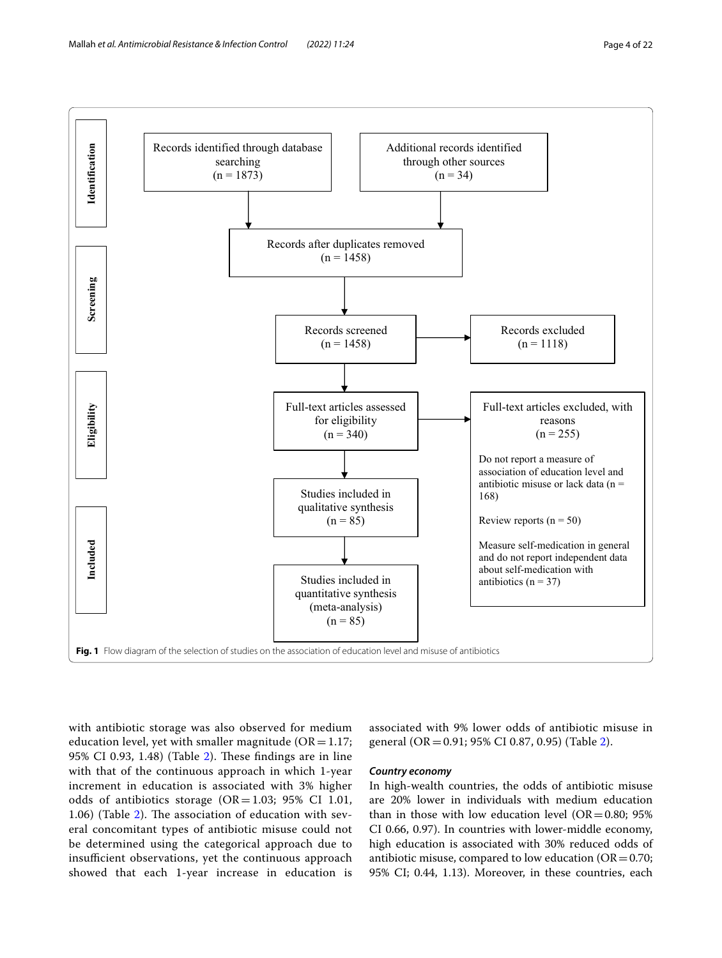

<span id="page-3-0"></span>with antibiotic storage was also observed for medium education level, yet with smaller magnitude ( $OR = 1.17$ ; 95% CI 0.93, 1.48) (Table [2](#page-16-0)). These findings are in line with that of the continuous approach in which 1-year increment in education is associated with 3% higher odds of antibiotics storage  $(OR = 1.03; 95\% \text{ CI } 1.01,$ 1.06) (Table  $2$ ). The association of education with several concomitant types of antibiotic misuse could not be determined using the categorical approach due to insufficient observations, yet the continuous approach showed that each 1-year increase in education is

associated with 9% lower odds of antibiotic misuse in general (OR=0.91; 95% CI 0.87, 0.95) (Table [2](#page-16-0)).

#### *Country economy*

In high-wealth countries, the odds of antibiotic misuse are 20% lower in individuals with medium education than in those with low education level ( $OR = 0.80$ ; 95% CI 0.66, 0.97). In countries with lower-middle economy, high education is associated with 30% reduced odds of antibiotic misuse, compared to low education ( $OR = 0.70$ ; 95% CI; 0.44, 1.13). Moreover, in these countries, each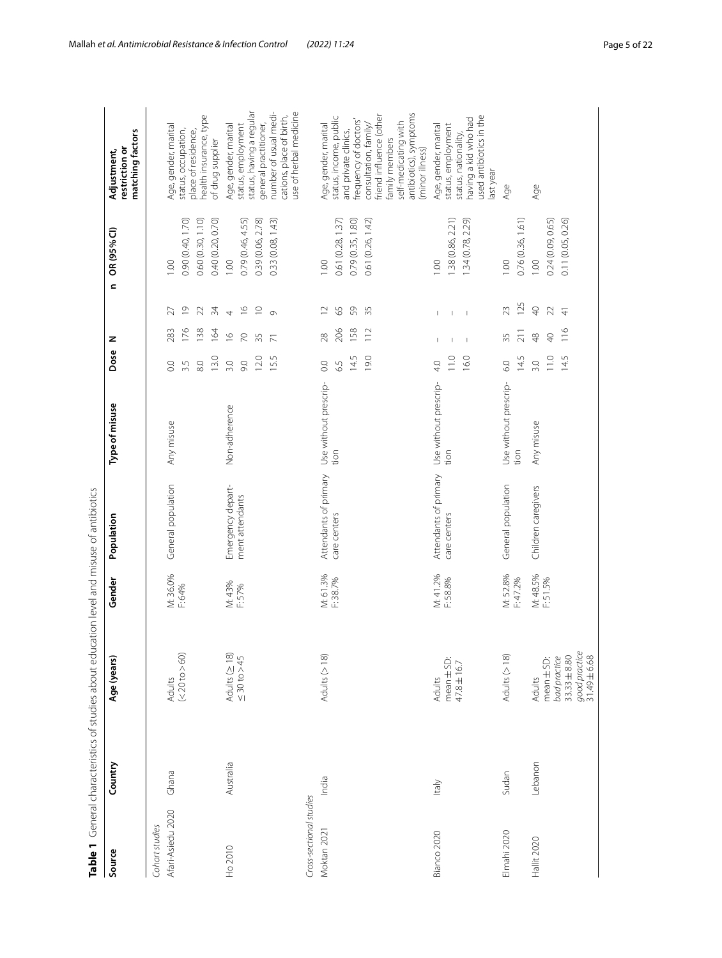| Table 1                                |           | General characteristics of studies about education level and misuse of antibiotics |                      |                                       |                               |                                                  |                                                                                                                                                               |                                                                     |                                                                                                                                                                                                                         |
|----------------------------------------|-----------|------------------------------------------------------------------------------------|----------------------|---------------------------------------|-------------------------------|--------------------------------------------------|---------------------------------------------------------------------------------------------------------------------------------------------------------------|---------------------------------------------------------------------|-------------------------------------------------------------------------------------------------------------------------------------------------------------------------------------------------------------------------|
| Source                                 | Country   | Age (years)                                                                        | Gender               | Population                            | Type of misuse                | Dose                                             | z                                                                                                                                                             | OR (95% CI)<br>$\mathbf{C}$                                         | matching factors<br>restriction or<br>Adjustment,                                                                                                                                                                       |
| Afari-Asiedu 2020<br>Cohort studies    | Ghana     | (< 20 to > 60)<br>Adults                                                           | M: 36.0%<br>F: 64%   | General population                    | Any misuse                    | 13.0<br>$\overline{8}0$<br>$\rm ^{\circ}$<br>3.5 | $\overline{\mathrm{o}}$<br>$\mathfrak{Z}$<br>27<br>176<br>283<br>138<br>164                                                                                   | 0.40 (0.20, 0.70)<br>0.90 (0.40, 1.70)<br>0.60 (0.30, 1.10)<br>001  | health insurance, type<br>Age, gender, marital<br>status, occupation,<br>place of residence,<br>of drug supplier                                                                                                        |
| Ho 2010                                | Australia | Adults ( $\geq$ 18)<br>$\leq 30$ to $>45$                                          | M: 43%<br>F: 57%     | Emergency depart-<br>ment attendants  | Non-adherence                 | 12.0<br>15.5<br>3.0<br>60                        | $\frac{\infty}{2}$<br>$\supseteq$<br>$\frac{1}{2}$<br>$\overline{\phantom{a}}$<br>$\circ$<br>$\frac{\circ}{\circ}$<br>$\overline{70}$<br>35<br>$\overline{7}$ | 0.79 (0.46, 4.55)<br>0.39 (0.06, 2.78)<br>0.33 (0.08, 1.43)<br>1.00 | number of usual medi-<br>use of herbal medicine<br>status, having a regular<br>cations, place of birth,<br>general practitioner,<br>Age, gender, marital<br>status, employment                                          |
| Cross-sectional studies<br>Moktan 2021 | India     | Adults (>18)                                                                       | M: 61.3%<br>F: 38.7% | Attendants of primary<br>care centers | Use without prescrip-<br>tion | 14.5<br>19.0<br>$\overline{0}$ .<br>6.5          | $\supseteq$<br>65<br>59<br>35<br>206<br>158<br>112<br>28                                                                                                      | 0.61 (0.26, 1.42)<br>0.61 (0.28, 1.37)<br>0.79 (0.35, 1.80)<br>1.00 | antibiotics), symptoms<br>friend influence (other<br>status, income, public<br>frequency of doctors'<br>self-medicating with<br>consultation, family/<br>Age, gender, marital<br>and private clinics,<br>family members |
| Bianco 2020                            | ltaly     | mean ± SD:<br>47.8±16.7<br>Adults                                                  | M: 41.2%<br>F: 58.8% | Attendants of primary<br>care centers | Use without prescrip-<br>tion | 11.0<br>16.0<br>4.0                              | $\mathbf{I}$<br>$\mathsf I$<br>$\overline{\phantom{a}}$<br>$\mathbb I$<br>$\mathbf{I}$<br>Т                                                                   | 1.38 (0.86, 2.21)<br>1.34 (0.78, 2.29)<br>00.1                      | used antibiotics in the<br>having a kid who had<br>Age, gender, marital<br>status, employment<br>status, nationality,<br>(minor illness)<br>last year                                                                   |
| Elmahi 2020                            | Sudan     | Adults $($ > 18)                                                                   | M: 52.8%<br>F: 47.2% | General population                    | Use without prescrip-<br>tion | 14.5<br>6.0                                      | 23<br>211<br>35                                                                                                                                               | 0.76 (0.36, 1.61)<br>1.00<br>125                                    | Age                                                                                                                                                                                                                     |
| Hallit 2020                            | Lebanon   | good practice<br>$33.33 \pm 8.80$<br>bad practice<br>$mean \pm SD$ :<br>Adults     | M: 48.5%<br>F: 51.5% | Children caregivers                   | Any misuse                    | 11.0<br>14.5<br>3.0                              | $\Theta$<br>22<br>$\frac{4}{5}$<br>116<br>$\frac{8}{4}$<br>$\overline{Q}$                                                                                     | 0.11 (0.05, 0.26)<br>0.24 (0.09, 0.65)<br>00.1                      | Age                                                                                                                                                                                                                     |

<span id="page-4-0"></span>31.49 ±6.68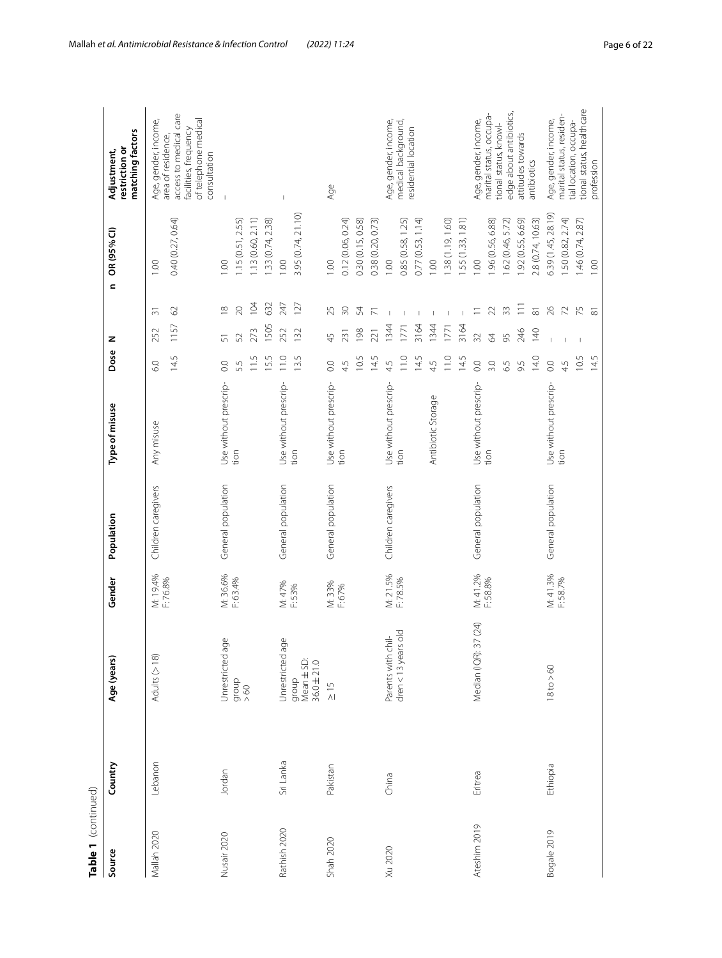| Table 1 (continued) |           |                                            |                  |                     |                       |                |                |                     |                    |                                                                                                               |
|---------------------|-----------|--------------------------------------------|------------------|---------------------|-----------------------|----------------|----------------|---------------------|--------------------|---------------------------------------------------------------------------------------------------------------|
| Source              | Country   | Age (years)                                | Gender           | Population          | Type of misuse        | Dose           | z              | $\epsilon$          | OR (95% CI)        | matching factors<br>restriction or<br>Adjustment,                                                             |
| Mallah 2020         | Lebanon   | Adults (>18)                               | M: 19.4%         | Children caregivers | Any misuse            | 60             | 252            | 등                   | 1,00               | Age, gender, income,                                                                                          |
|                     |           |                                            | F:76.8%          |                     |                       | 14.5           | 1157           | $\odot$             | 0.40 (0.27, 0.64)  | access to medical care<br>of telephone medical<br>facilities, frequency<br>area of residence,<br>consultation |
| Nusair 2020         | Jordan    | ზ,<br>Unrestricted a                       | M: 36.6%         | General population  | Use without prescrip- | $\overline{0}$ | $\overline{5}$ | $\approx$           | 1.00               | $\overline{\phantom{a}}$                                                                                      |
|                     |           | $\frac{1}{200}$                            | F: 63.4%         |                     | tion                  | 5.5            | 52             | $\gtrsim$           | 1.15(0.51, 2.55)   |                                                                                                               |
|                     |           |                                            |                  |                     |                       | 11.5           | 273            | 104                 | 1.13(0.60, 2.11)   |                                                                                                               |
|                     |           |                                            |                  |                     |                       | 15.5           | 1505           | 632                 | 1.33(0.74, 2.38)   |                                                                                                               |
| Rathish 2020        | Sri Lanka | Jnrestricted age                           | M: 47%<br>F: 53% | General population  | Use without prescrip- | 11.0           | 252            | 247                 | 0.001              |                                                                                                               |
|                     |           | group<br>Mean $\pm$ SD:<br>36.0 $\pm$ 21.0 |                  |                     | tion                  | 13.5           | 132            | 127                 | 3.95 (0.74, 21.10) |                                                                                                               |
| Shah 2020           | Pakistan  | $\frac{5}{10}$                             | M: 33%           | General population  | Use without prescrip- | $\rm ^{\circ}$ | 45             | 25                  | 00.1               | Age                                                                                                           |
|                     |           |                                            | F: 67%           |                     | tion                  | 45             | 231            | $\Im$               | 0.12 (0.06, 0.24)  |                                                                                                               |
|                     |           |                                            |                  |                     |                       | 10.5           | 198            | 54                  | 0.30 (0.15, 0.58)  |                                                                                                               |
|                     |           |                                            |                  |                     |                       | 14.5           | 221            | ŕ                   | 0.38 (0.20, 0.73)  |                                                                                                               |
| Xu 2020             | China     | Parents with chil-                         | M: 21.5%         | Children caregivers | Use without prescrip- | 45             | 1344           | $\mathbf{I}$        | 1.00               | Age, gender, income,                                                                                          |
|                     |           | $dren < 13$ years old                      | F:78.5%          |                     | tion                  | 11.0           | 1771           |                     | 0.85 (0.58, 1.25)  | medical background,<br>residential location                                                                   |
|                     |           |                                            |                  |                     |                       | 14.5           | 3164           |                     | 0.77(0.53, 1.14)   |                                                                                                               |
|                     |           |                                            |                  |                     | Antibiotic Storage    | 4.5            | 1344           |                     | 1.00               |                                                                                                               |
|                     |           |                                            |                  |                     |                       | 11.0           | 1771           | $\mathbf{I}$        | .38 (1.19, 1.60)   |                                                                                                               |
|                     |           |                                            |                  |                     |                       | 14.5           | 3164           | $\overline{1}$      | 55 (1.33, 1.81)    |                                                                                                               |
| Ateshim 2019        | Eritrea   | 37 (24)<br>Median (IQR):                   | M: 41.2%         | General population  | Use without prescrip- | $\rm_{\rm CO}$ | 32             | Ξ                   | 0.001              | Age, gender, income,                                                                                          |
|                     |           |                                            | F: 58.8%         |                     | tion                  | 3.0            | 64             | $\overline{2}$      | .96 (0.56, 6.88)   | marital status, occupa-<br>tional status, knowl-                                                              |
|                     |           |                                            |                  |                     |                       | 65             | 95             | $33$                | .62 (0.46, 5.72)   | edge about antibiotics,                                                                                       |
|                     |           |                                            |                  |                     |                       | 9.5            | 246            | $\equiv$            | .92 (0.55, 6.69)   | attitudes towards                                                                                             |
|                     |           |                                            |                  |                     |                       | 14.0           | 140            | $\overline{\infty}$ | 2.8 (0.74, 10.63)  | antibiotics                                                                                                   |
| Bogale 2019         | Ethiopia  | $18$ to $>60$                              | M: 41.3%         | General population  | Use without prescrip- | $_{\odot}$     |                | 26                  | 6.39 (1.45, 28.19) | Age, gender, income,                                                                                          |
|                     |           |                                            | F:58.7%          |                     | tion                  | 4.5            |                | $\overline{z}$      | 50 (0.82, 2.74)    | marital status, residen-<br>tial location, occupa-                                                            |
|                     |           |                                            |                  |                     |                       | 10.5           | $\overline{1}$ | 75                  | 1.46(0.74, 2.87)   | tional status, healthcare                                                                                     |
|                     |           |                                            |                  |                     |                       | 14.5           |                | $\overline{\infty}$ | 001                | profession                                                                                                    |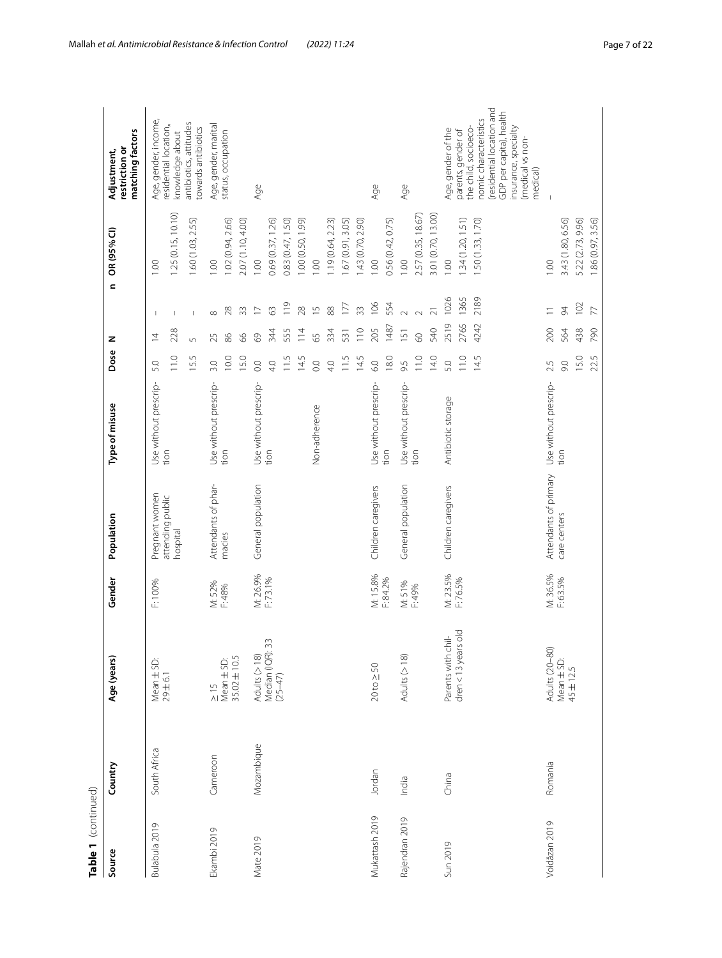| Table 1 (continued) |              |                                                                                |                      |                              |                       |                  |                 |                 |                    |                                                   |
|---------------------|--------------|--------------------------------------------------------------------------------|----------------------|------------------------------|-----------------------|------------------|-----------------|-----------------|--------------------|---------------------------------------------------|
| Source              | Country      | Age (years)                                                                    | Gender               | Population                   | Type of misuse        | Dose             | z               | $\blacksquare$  | OR (95% CI)        | matching factors<br>restriction or<br>Adjustment, |
| Bulabula 2019       | South Africa | Mean ± SD:                                                                     | F:100%               | Pregnant women               | Use without prescrip- | 5.0              | $\overline{4}$  | $\mathbf{I}$    | 1.00               | Age, gender, income,                              |
|                     |              | 29 ± 6.1                                                                       |                      | attending public<br>hospital | tion                  | 11.0             | 228             | $\overline{1}$  | 1.25(0.15, 10.10)  | residential location,<br>knowledge about          |
|                     |              |                                                                                |                      |                              |                       | 15.5             | 5               | Ī               | 1.60 (1.03, 2.55)  | antibiotics, attitudes<br>towards antibiotics     |
| Ekambi 2019         | Cameroon     | $\frac{5}{10}$                                                                 | M: 52%<br>F: 48%     | Attendants of phar-          | Use without prescrip- | 3.0              | 25              | $\infty$        | 1.00               | Age, gender, marital                              |
|                     |              | $\begin{array}{c} \mathsf{Mean} \pm \mathsf{SD:}\\ 35.02 \pm 10.5 \end{array}$ |                      | macies                       | tion                  | 10.0             | 86              | $^{28}$         | 1.02(0.94, 2.66)   | status, occupation                                |
|                     |              |                                                                                |                      |                              |                       | 15.0             | 89              | 33              | 2.07 (1.10, 4.00)  |                                                   |
| Mate 2019           | Mozambique   | Adults $($ > 18)                                                               | M: 26.9%<br>F: 73.1% | General population           | Use without prescrip- | $\overline{O}$ . | 69              | $\overline{C}$  | 1.00               | Age                                               |
|                     |              | Median (IQR): 33<br>$(25 - 47)$                                                |                      |                              | tion                  | 4.0              | 344             | $\Im$           | 0.69 (0.37, 1.26)  |                                                   |
|                     |              |                                                                                |                      |                              |                       | 11.5             | 555             | $\frac{9}{1}$   | 0.83 (0.47, 1.50)  |                                                   |
|                     |              |                                                                                |                      |                              |                       | 14.5             | $\frac{14}{1}$  | 28              | 1.00 (0.50, 1.99)  |                                                   |
|                     |              |                                                                                |                      |                              | Non-adherence         | $\overline{O}$ . | 65              | $\overline{1}$  | 1.00               |                                                   |
|                     |              |                                                                                |                      |                              |                       | 40               | 334             | 88              | 1.19 (0.64, 2.23)  |                                                   |
|                     |              |                                                                                |                      |                              |                       | 11.5             | 531             | 177             | 1.67 (0.91, 3.05)  |                                                   |
|                     |              |                                                                                |                      |                              |                       | 14.5             | 110             | 33              | 1.43 (0.70, 2.90)  |                                                   |
| Mukattash 2019      | Jordan       | $20 \text{ to } \geq 50$                                                       | M: 15.8%             | Children caregivers          | Use without prescrip- | 6.0              | 205             | 106             | 1.00               | Age                                               |
|                     |              |                                                                                | F: 84.2%             |                              | tion                  | 18.0             | 1487            | 554             | 0.56 (0.42, 0.75)  |                                                   |
| Rajendran 2019      | India        | Adults (>18)                                                                   | M: 51%               | General population           | Use without prescrip- | 9.5              | $\overline{51}$ | $\sim$          | 1.00               | Age                                               |
|                     |              |                                                                                | F: 49%               |                              | tion                  | 11.0             | 60              | $\sim$          | 2.57 (0.35, 18.67) |                                                   |
|                     |              |                                                                                |                      |                              |                       | 14.0             | 540             | $\overline{21}$ | 3.01 (0.70, 13.00) |                                                   |
| Sun 2019            | China        | $dren < 13$ years old<br>Parents with chil-                                    | M: 23.5%<br>F:76.5%  | Children caregivers          | Antibiotic storage    | 5.0              | 2519            | 1026            | 00.1               | Age, gender of the<br>parents, gender of          |
|                     |              |                                                                                |                      |                              |                       | 11.0             | 2765            | 1365            | 1.34 (1.20, 1.51)  | the child, socioeco-                              |
|                     |              |                                                                                |                      |                              |                       | 14.5             | 4242            | 2189            | 1.50 (1.33, 1.70)  | residential location and<br>nomic characteristics |
|                     |              |                                                                                |                      |                              |                       |                  |                 |                 |                    | GDP per capita), health<br>nsurance, specialty    |
|                     |              |                                                                                |                      |                              |                       |                  |                 |                 |                    | (medical vs non-<br>medical)                      |
| Voidăzan 2019       | Romania      | Adults (20-80)                                                                 | M: 36.5%<br>F: 63.5% | Attendants of primary        | Use without prescrip- | 2.5              | 200             | $\equiv$        | 1.00               |                                                   |
|                     |              | Mean $\pm$ SD:<br>45 $\pm$ 12.5                                                |                      | care centers                 | tion                  | 60               | 564             | $\approx$       | 3.43 (1.80, 6.56)  |                                                   |
|                     |              |                                                                                |                      |                              |                       | 15.0             | 438             | 102             | 5.22 (2.73, 9.96)  |                                                   |
|                     |              |                                                                                |                      |                              |                       | 22.5             | 790             | $\overline{7}$  | 1.86 (0.97, 3.56)  |                                                   |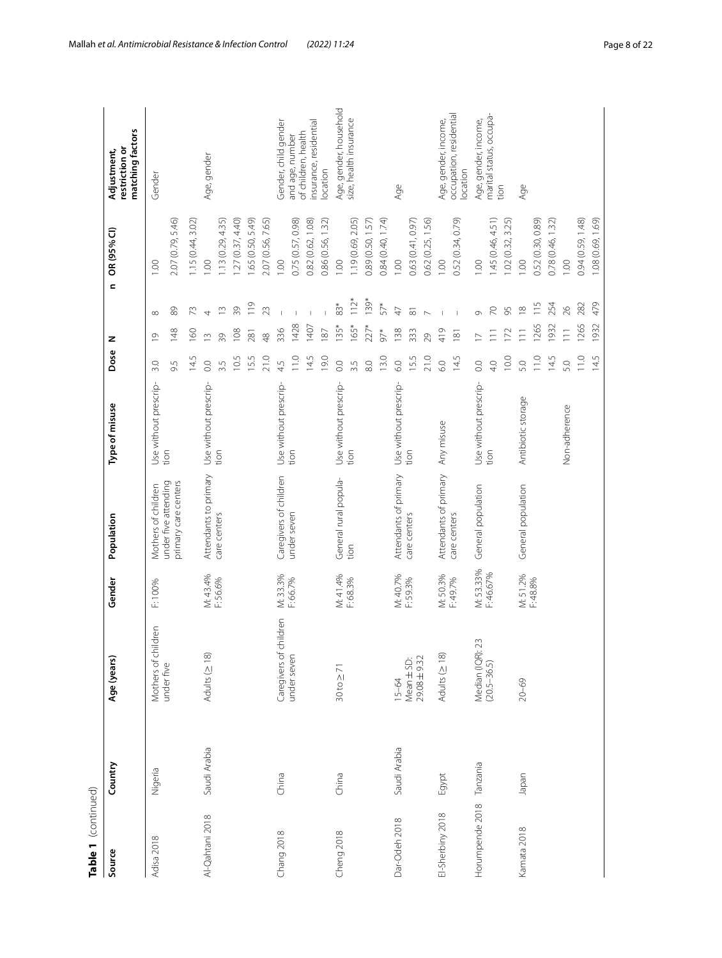| Table 1 (continued) |              |                                      |                        |                                              |                       |                |                 |                     |                   |                                                   |
|---------------------|--------------|--------------------------------------|------------------------|----------------------------------------------|-----------------------|----------------|-----------------|---------------------|-------------------|---------------------------------------------------|
| Source              | Country      | Age (years)                          | Gender                 | Population                                   | Type of misuse        | Dose           | z               | $\mathbf{C}$        | OR (95% CI)       | matching factors<br>restriction or<br>Adjustment, |
| Adisa 2018          | Nigeria      | Mothers of children                  | F: 100%                | Mothers of children                          | Use without prescrip- | 3.0            | $\circ$         | $\infty$            | 001               | Gender                                            |
|                     |              | under five                           |                        | under five attending<br>primary care centers | tion                  | 9.5            | 148             | $\otimes$           | 2.07 (0.79, 5.46) |                                                   |
|                     |              |                                      |                        |                                              |                       | 14.5           | 160             | 73                  | .15(0.44, 3.02)   |                                                   |
| Al-Qahtani 2018     | Saudi Arabia | Adults ( $\geq$ 18)                  | M: 43.4%               | Attendants to primary                        | Use without prescrip- | $\rm_{\odot}$  | $\sim$          | 4                   | 00 <sub>1</sub>   | Age, gender                                       |
|                     |              |                                      | F:56.6%                | care centers                                 | tion                  | 3.5            | $\frac{8}{3}$   | $\frac{1}{2}$       | .13(0.29, 4.35)   |                                                   |
|                     |              |                                      |                        |                                              |                       | 10.5           | 108             | 39                  | .27(0.37, 4.40)   |                                                   |
|                     |              |                                      |                        |                                              |                       | 15.5           | 281             | 119                 | .65 (0.50, 5.49)  |                                                   |
|                     |              |                                      |                        |                                              |                       | 21.0           | $\frac{8}{4}$   | 23                  | 2.07 (0.56, 7.65) |                                                   |
| Chang 2018          | China        | children<br>Caregivers of            | M: 33.3%               | Caregivers of children                       | Use without prescrip- | 4.5            | 336             |                     | 00.1              | Gender, child gender                              |
|                     |              | under seven                          | F: 66.7%               | under seven                                  | tion                  | 11.0           | 1428            |                     | 0.75 (0.57, 0.98) | of children, health<br>and age, number            |
|                     |              |                                      |                        |                                              |                       | 14.5           | 1407            |                     | 0.82 (0.62, 1.08) | insurance, residential                            |
|                     |              |                                      |                        |                                              |                       | 19.0           | 187             |                     | 0.86 (0.56, 1.32) | ocation                                           |
| Cheng 2018          | China        | $30 \text{ to } \geq 71$             | M: 41.4%<br>F: 68.3%   | General rural popula-                        | Use without prescrip- | $\rm_{\rm CO}$ | 135*            | 83*                 | 00.1              | Age, gender, household                            |
|                     |              |                                      |                        | tion                                         | tion                  | 3.5            | $165*$          | $112*$              | 1.19(0.69, 2.05)  | size, health insurance                            |
|                     |              |                                      |                        |                                              |                       | 8.0            | $22^{*}$        | 139*                | 0.89 (0.50, 1.57) |                                                   |
|                     |              |                                      |                        |                                              |                       | 13.0           | $97*$           | 57*                 | 0.84 (0.40, 1.74) |                                                   |
| Dar-Odeh 2018       | Saudi Arabia | $15 - 64$                            | M: 40.7%<br>F: 59.3%   | Attendants of primary                        | Use without prescrip- | 6.0            | 138             | $\overline{4}$      | 1.00              | Age                                               |
|                     |              | Mean $\pm$ SD:<br>29.08 $\pm$ 9.32   |                        | care centers                                 | tion                  | 15.5           | 333             | $\overline{\infty}$ | 0.63 (0.41, 0.97) |                                                   |
|                     |              |                                      |                        |                                              |                       | 21.0           | 29              | $\triangleright$    | 0.62(0.25, 1.56)  |                                                   |
| El-Sherbiny 2018    | Egypt        | Adults ( $\geq$ 18)                  | M: 50.3%               | Attendants of primary                        | Any misuse            | 6.0            | 419             |                     | 1.00              | Age, gender, income,                              |
|                     |              |                                      | F: 49.7%               | care centers                                 |                       | 14.5           | 181             | $\overline{1}$      | 0.52 (0.34, 0.79) | occupation, residential<br>ocation                |
| Horumpende 2018     | Tanzania     | 23<br>Median (IQR): 2<br>(20.5–36.5) | M: 53.33%<br>F: 46.67% | General population                           | Use without prescrip- | $\rm_{\rm CO}$ |                 | Ō                   | 00.1              | Age, gender, income,                              |
|                     |              |                                      |                        |                                              | tion                  | 4.0            | $\equiv$        | $\gtrsim$           | .45 (0.46, 4.51)  | marital status, occupa-                           |
|                     |              |                                      |                        |                                              |                       | 10.0           | $\overline{2}$  | 95                  | .02(0.32, 3.25)   | tion                                              |
| Kamata 2018         | Japan        | $20 - 69$                            | M: 51.2%<br>F: 48.8%   | General population                           | Antibiotic storage    | 5.0            | $\equiv$        | $\approx$           | 001               | Age                                               |
|                     |              |                                      |                        |                                              |                       | 11.0           | 265             | 115                 | 0.52 (0.30, 0.89) |                                                   |
|                     |              |                                      |                        |                                              |                       | 14.5           | 932             | 254                 | 0.78(0.46, 1.32)  |                                                   |
|                     |              |                                      |                        |                                              | Non-adherence         | 5.0            | $\overline{11}$ | $\approx$           | 1.00              |                                                   |
|                     |              |                                      |                        |                                              |                       | 11.0           | 1265            | 282                 | 0.94 (0.59, 1.48) |                                                   |
|                     |              |                                      |                        |                                              |                       | 14.5           | 1932            | 479                 | 1.08 (0.69, 1.69) |                                                   |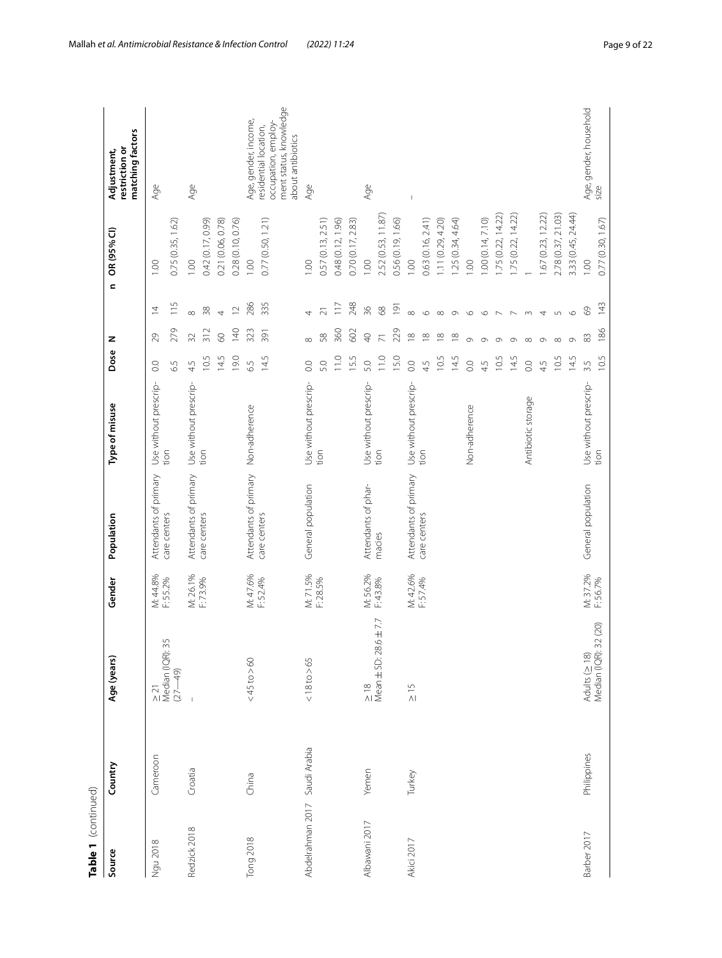| Table 1 (continued) |              |                                        |                      |                                       |                               |                  |                  |                          |                          |                                                                                            |
|---------------------|--------------|----------------------------------------|----------------------|---------------------------------------|-------------------------------|------------------|------------------|--------------------------|--------------------------|--------------------------------------------------------------------------------------------|
| Source              | Country      | Age (years)                            | Gender               | Population                            | Type of misuse                | Dose             | z                | $\mathbf{C}$             | OR (95% CI)              | matching factors<br>restriction or<br>Adjustment,                                          |
| Ngu 2018            | Cameroon     | $\sqrt{2}$<br>≥ 21<br>Median (IQR): 35 | M: 44.8%<br>F: 55.2% | Attendants of primary<br>care centers | Use without prescrip-<br>tion | $\rm ^{0}$       | 29               | $\overline{4}$           | 1.00                     | Age                                                                                        |
|                     |              | $(27 - 49)$                            |                      |                                       |                               | $\overline{6}$   | 279              | 115                      | 0.75(0.35, 1.62)         |                                                                                            |
| Redzick 2018        | Croatia      |                                        | M: 26.1%             | Attendants of primary                 | Use without prescrip-         | 4.5              | 32               | $\infty$                 | 1.00                     | Age                                                                                        |
|                     |              |                                        | F:73.9%              | care centers                          | tion                          | 10.5             | 312              | 38                       | 0.42 (0.17, 0.99)        |                                                                                            |
|                     |              |                                        |                      |                                       |                               | 14.5             | 8                | $\overline{4}$           | 0.21 (0.06, 0.78)        |                                                                                            |
|                     |              |                                        |                      |                                       |                               | 19.0             | 140              | $\overline{C}$           | 0.28 (0.10, 0.76)        |                                                                                            |
| Tong 2018           | China        | $< 45 \text{ to} > 60$                 | M: 47.6%             | Attendants of primary                 | Non-adherence                 | 65               | 323              | 286                      | 00.1                     | Age, gender, income,                                                                       |
|                     |              |                                        | F: 52.4%             | care centers                          |                               | 14.5             | 391              | 335                      | 0.77 (0.50, 1.21)        | ment status, knowledge<br>occupation, employ<br>residential location,<br>about antibiotics |
| Abdelrahman 2017    | Saudi Arabia | $<$ 18 to $>$ 65                       | M: 71.5%             | General population                    | Use without prescrip-         | $_{\odot}$       | $\infty$         | 4                        | 1.00                     | Age                                                                                        |
|                     |              |                                        | F: 28.5%             |                                       | tion                          | 5.0              | 58               | $\overline{2}1$          | 0.57 (0.13, 2.51)        |                                                                                            |
|                     |              |                                        |                      |                                       |                               | 11.0             | 360              | 117                      | 0.48 (0.12, 1.96)        |                                                                                            |
|                     |              |                                        |                      |                                       |                               | 15.5             | 602              | 248                      | 0.70(0.17, 2.83)         |                                                                                            |
| Albawani 2017       | Yemen        | $\geq$ 18<br>Mean $\pm$ SD: 28.6       | M: 56.2%<br>F: 43.8% | Attendants of phar-                   | Use without prescrip-         | 5.0              | $\overline{Q}$   | 36                       | 001                      | Age                                                                                        |
|                     |              | $6 + 7.7$                              |                      | macies                                | tion                          | 11.0             | $\overline{7}$   | $8^{\circ}$              | 2.52 (0.53, 11.87)       |                                                                                            |
|                     |              |                                        |                      |                                       |                               | 15.0             | 229              | $\overline{9}$           | 0.56 (0.19, 1.66)        |                                                                                            |
| <b>Akici 2017</b>   | Turkey       | $\frac{5}{10}$                         | M: 42.6%             | Attendants of primary                 | Use without prescrip-         | $\overline{0}$ . | $\frac{8}{1}$    | $\infty$                 | 1.00                     |                                                                                            |
|                     |              |                                        | F: 57.4%             | care centers                          | tion                          | 4.5              | $\frac{8}{1}$    | $\circ$                  | 0.63 (0.16, 2.41)        |                                                                                            |
|                     |              |                                        |                      |                                       |                               | 10.5             | $\frac{8}{10}$   | $\infty$                 | 1.11(0.29, 4.20)         |                                                                                            |
|                     |              |                                        |                      |                                       |                               | 14.5             | $\frac{8}{1}$    | $\circ$                  | 1.25(0.34, 4.64)         |                                                                                            |
|                     |              |                                        |                      |                                       | Non-adherence                 | $\rm_{0.0}$      | $\circ$          | $\circ$                  | 1.00                     |                                                                                            |
|                     |              |                                        |                      |                                       |                               | 4.5              | $\circ$          | $\circ$                  | .00 (0.14, 7.10)         |                                                                                            |
|                     |              |                                        |                      |                                       |                               | 10.5             | G                | $\overline{\phantom{a}}$ | 1.75(0.22, 14.22)        |                                                                                            |
|                     |              |                                        |                      |                                       |                               | 14.5             | G                | $\overline{\phantom{0}}$ | 1.75(0.22, 14.22)        |                                                                                            |
|                     |              |                                        |                      |                                       | Antibiotic storage            | $\overline{O}$ . | $\infty$         | $\sim$                   |                          |                                                                                            |
|                     |              |                                        |                      |                                       |                               | 4.5              | $\circ$          | 4                        | 1.67(0.23, 12.22)        |                                                                                            |
|                     |              |                                        |                      |                                       |                               | 10.5             | $\infty$         | $\cup$                   | 2.78 (0.37, 21.03)       |                                                                                            |
|                     |              |                                        |                      |                                       |                               | 14.5             | $\circ$          | $\circ$                  | 3.33 (0.45, 24.44)       |                                                                                            |
| Barber 2017         | Philippines  | Adults (≥ 18)<br>Median (IQR): 32 (20) | M: 37.2%<br>F: 56.7% | General population                    | Use without prescrip-<br>tion | 10.5<br>3.5      | 186<br>$\approx$ | 143<br>$\degree$         | 0.77(0.30, 1.67)<br>1.00 | Age, gender, household<br>size                                                             |
|                     |              |                                        |                      |                                       |                               |                  |                  |                          |                          |                                                                                            |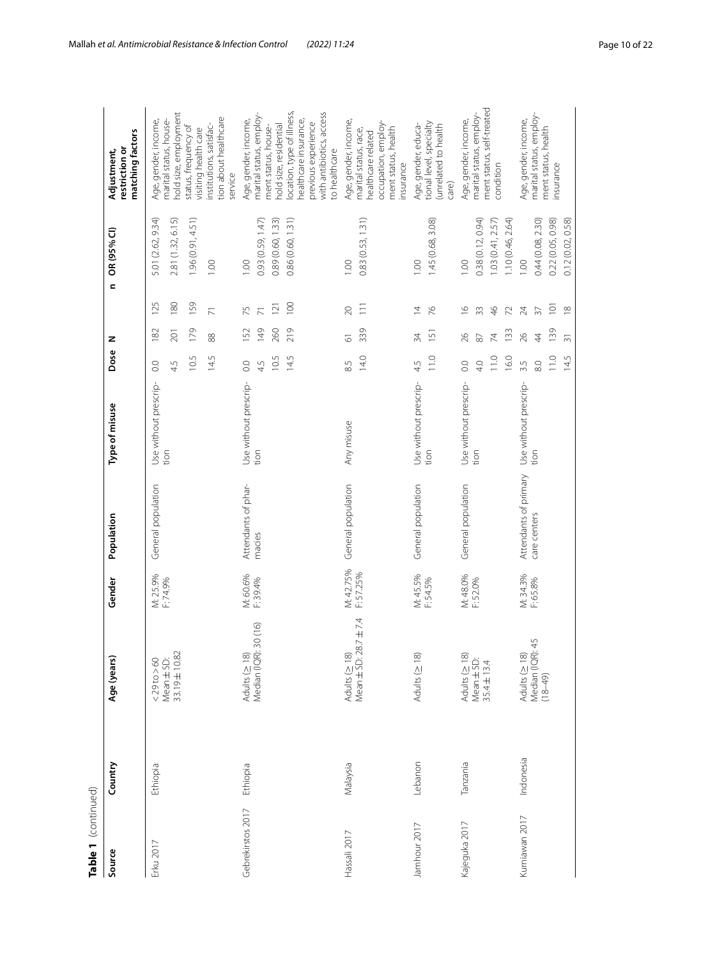| Table 1 (continued) |           |                                                          |                        |                                       |                               |                                       |                                                |                                                               |                                                                     |                                                                                                                                                                                                                             |
|---------------------|-----------|----------------------------------------------------------|------------------------|---------------------------------------|-------------------------------|---------------------------------------|------------------------------------------------|---------------------------------------------------------------|---------------------------------------------------------------------|-----------------------------------------------------------------------------------------------------------------------------------------------------------------------------------------------------------------------------|
| Source              | Country   | Age (years)                                              | Gender                 | Population                            | Type of misuse                | Dose                                  | z                                              | $\mathbf{c}$                                                  | OR (95% CI)                                                         | matching factors<br>restriction or<br>Adjustment,                                                                                                                                                                           |
| Erku 2017           | Ethiopia  | 33.19±10.82<br>$Mean \pm SD$ :<br>$<$ 29 to $>$ 60       | M: 25.9%<br>F: 74.9%   | General population                    | Use without prescrip-<br>tion | 14.5<br>10.5<br>$\overline{0}$<br>4.5 | 179<br>182<br>201<br>88                        | 159<br>125<br>180<br>$\overline{\wedge}$                      | 1.96 (0.91, 4.51)<br>5.01 (2.62, 9.34)<br>2.81 (1.32, 6.15)<br>1.00 | hold size, employment<br>tion about healthcare<br>Age, gender, income,<br>marital status, house-<br>institutions, satisfac-<br>status, frequency of<br>visiting health care<br>service                                      |
| Gebrekirstos 2017   | Ethiopia  | 30 (16)<br>Median (IQR):<br>Adults ( $\geq$ 18)          | M: 60.6%<br>F: 39.4%   | Attendants of phar-<br>macies         | Use without prescrip-<br>tion | 10.5<br>14.5<br>$\overline{0}$<br>4.5 | 219<br>149<br>260<br>152                       | 100<br>121<br>75<br>$\overline{7}$                            | 0.86 (0.60, 1.31)<br>0.89 (0.60, 1.33)<br>0.93 (0.59, 1.47)<br>1.00 | location, type of illness,<br>with antibiotics, access<br>marital status, employ-<br>Age, gender, income,<br>healthcare insurance,<br>previous experience<br>hold size, residential<br>ment status, house-<br>to healthcare |
| Hassali 2017        | Malaysia  | Mean ± SD: 28.7 ± 7.4<br>Adults ( $\geq$ 18)             | M: 42.75%<br>F: 57.25% | General population                    | Any misuse                    | 14.0<br>8.5                           | 339<br>5                                       | $\overline{11}$<br>$\infty$                                   | 0.83 (0.53, 1.31)<br>1.00                                           | Age, gender, income,<br>occupation, employ-<br>ment status, health<br>marital status, race,<br>healthcare related<br>insurance                                                                                              |
| Jamhour 2017        | Lebanon   | Adults ( $\geq$ 18)                                      | M: 45.5%<br>F: 54.5%   | General population                    | Use without prescrip-<br>tion | 11.0<br>45                            | 151<br>34                                      | $\%$<br>$\overline{4}$                                        | 1.45 (0.68, 3.08)<br>1.00                                           | tional level, specialty<br>Age, gender, educa-<br>(unrelated to health<br>care)                                                                                                                                             |
| Kajeguka 2017       | Tanzania  | Adults ( $\geq$ 18)<br>Mean $\pm$ SD:<br>35.4 $\pm$ 13.4 | M: 48.0%<br>F: 52.0%   | General population                    | Use without prescrip-<br>tion | 16.0<br>11.0<br>4.0<br>0.0            | 133<br>26<br>74<br>87                          | $\frac{\circ}{\circ}$<br>$\frac{4}{6}$<br>33<br>$\mathcal{L}$ | 0.38 (0.12, 0.94)<br>1.10(0.46, 2.64)<br>1.03(0.41, 2.57)<br>001    | ment status, self-treated<br>marital status, employ-<br>Age, gender, income,<br>condition                                                                                                                                   |
| Kurniawan 2017      | Indonesia | 45<br>Median (IQR): 4<br>(18–49)<br>Adults ( $\geq$ 18)  | M: 34.3%<br>F: 65.8%   | Attendants of primary<br>care centers | Use without prescrip-<br>tion | 11.0<br>14.5<br>3.5<br>8.0            | 139<br>26<br>$\overline{4}$<br>$\overline{31}$ | $\overline{101}$<br>$\frac{8}{10}$<br>24<br>$\overline{37}$   | 0.44 (0.08, 2.30)<br>0.22 (0.05, 0.98)<br>0.12 (0.02, 0.58)<br>00.1 | marital status, employ-<br>Age, gender, income,<br>ment status, health<br>insurance                                                                                                                                         |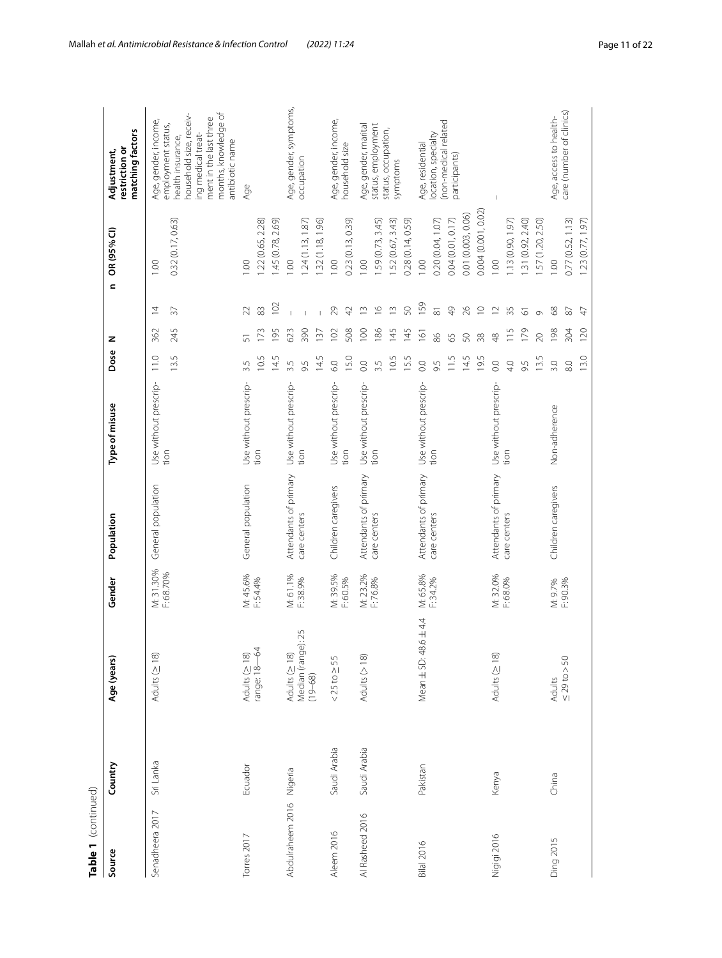| Table 1 (continued)      |              |                                                      |                        |                                       |                               |                                            |                                          |                                                                  |                                                                                            |                                                                                                                                                                                       |
|--------------------------|--------------|------------------------------------------------------|------------------------|---------------------------------------|-------------------------------|--------------------------------------------|------------------------------------------|------------------------------------------------------------------|--------------------------------------------------------------------------------------------|---------------------------------------------------------------------------------------------------------------------------------------------------------------------------------------|
| Source                   | Country      | Age (years)                                          | Gender                 | Population                            | Type of misuse                | Dose                                       | z                                        | $\epsilon$                                                       | OR (95% CI)                                                                                | matching factors<br>restriction or<br>Adjustment,                                                                                                                                     |
| Senadheera 2017          | Sri Lanka    | Adults $( \geq 18)$                                  | M: 31.30%<br>F: 68.70% | General population                    | Use without prescrip-<br>tion | 13.5<br>11.0                               | 245<br>362                               | $\overline{4}$<br>$\sqrt{2}$                                     | 0.32 (0.17, 0.63)<br>1.00                                                                  | months, knowledge of<br>household size, receiv-<br>ment in the last three<br>Age, gender, income,<br>employment status,<br>ing medical treat-<br>health insurance,<br>antibiotic name |
| Torres <sub>2017</sub>   | Ecuador      | range: 18-64<br>Adults ( $\geq$ 18)                  | M: 45.6%<br>F: 54.4%   | General population                    | Use without prescrip-<br>tion | 10.5<br>14.5<br>3.5                        | 173<br>195                               | 102<br>83<br>22                                                  | .22(0.65, 2.28)<br>.45 (0.78, 2.69)<br>1.00                                                | Age                                                                                                                                                                                   |
| Abdulraheem 2016 Nigeria |              | Median (range): 25<br>(19–68)<br>Adults ( $\geq$ 18) | M: 61.1%<br>F: 38.9%   | Attendants of primary<br>care centers | Use without prescrip-<br>tion | 14.5<br>3.5<br>9.5                         | 390<br>623<br>137                        | $\overline{1}$                                                   | .24(1.13, 1.87)<br>.32(1.18, 1.96)<br>00.1                                                 | Age, gender, symptoms,<br>occupation                                                                                                                                                  |
| Aleem 2016               | Saudi Arabia | $<$ 25 to $\geq$ 55                                  | M: 39.5%<br>F: 60.5%   | Children caregivers                   | Use without prescrip-<br>tion | 15.0<br>6.0                                | 508<br>102                               | 29<br>$\overline{4}$                                             | 0.23 (0.13, 0.39)<br>00.1                                                                  | Age, gender, income,<br>household size                                                                                                                                                |
| Al Rasheed 2016          | Saudi Arabia | Adults $($ > 18)                                     | M: 23.2%<br>F:76.8%    | Attendants of primary<br>care centers | Use without prescrip-<br>tion | 10.5<br>15.5<br>0.0<br>3.5                 | 186<br>100<br>145<br>145                 | ${\mathbb S}0$<br>$\tilde{=}$<br>$\frac{9}{2}$<br>$\tilde{=}$    | 0.28 (0.14, 0.59)<br>59 (0.73, 3.45)<br>52 (0.67, 3.43)<br>00.1                            | Age, gender, marital<br>status, employment<br>status, occupation,<br>symptoms                                                                                                         |
| <b>Bilal 2016</b>        | Pakistan     | $6 + 44$<br>Mean ± SD: 48                            | M: 65.8%<br>F: 34.2%   | Attendants of primary<br>care centers | Use without prescrip-<br>tion | 11.5<br>14.5<br>19.5<br>$\rm_{0.0}$<br>9.5 | $\overline{161}$<br>86<br>50<br>65<br>38 | 159<br>$\frac{1}{2}$<br>26<br>$\supseteq$<br>$\overline{\infty}$ | 0.004 (0.001, 0.02)<br>0.01 (0.003, 0.06)<br>0.04 (0.01, 0.17)<br>0.20 (0.04, 1.07)<br>001 | (non-medical related<br>location, specialty<br>Age, residential<br>participants)                                                                                                      |
| Nigigi 2016              | Kenya        | Adults ( $\geq$ 18)                                  | M: 32.0%<br>F: 68.0%   | Attendants of primary<br>care centers | Use without prescrip-<br>tion | 13.5<br>4.0<br>$\rm ^{0}$<br>9.5           | 179<br>115<br>20<br>$\frac{8}{4}$        | 35<br>$\simeq$<br>$\overline{\circ}$<br>$\circ$                  | 1.31(0.92, 2.40)<br>.13(0.90, 1.97)<br>1.57 (1.20, 2.50)<br>$\overline{0}$                 | I                                                                                                                                                                                     |
| Ding 2015                | China        | $50 = 29$ to $> 50$<br>Adults                        | F: 90.3%<br>M: 9.7%    | Children caregivers                   | Non-adherence                 | 13.0<br>3.0<br>8.0                         | 198<br>120<br>304                        | $\otimes$<br>$\rm 87$<br>$\overline{4}$                          | 0.77 (0.52, 1.13)<br>1.23 (0.77, 1.97)<br>00.1                                             | care (number of clinics)<br>Age, access to health-                                                                                                                                    |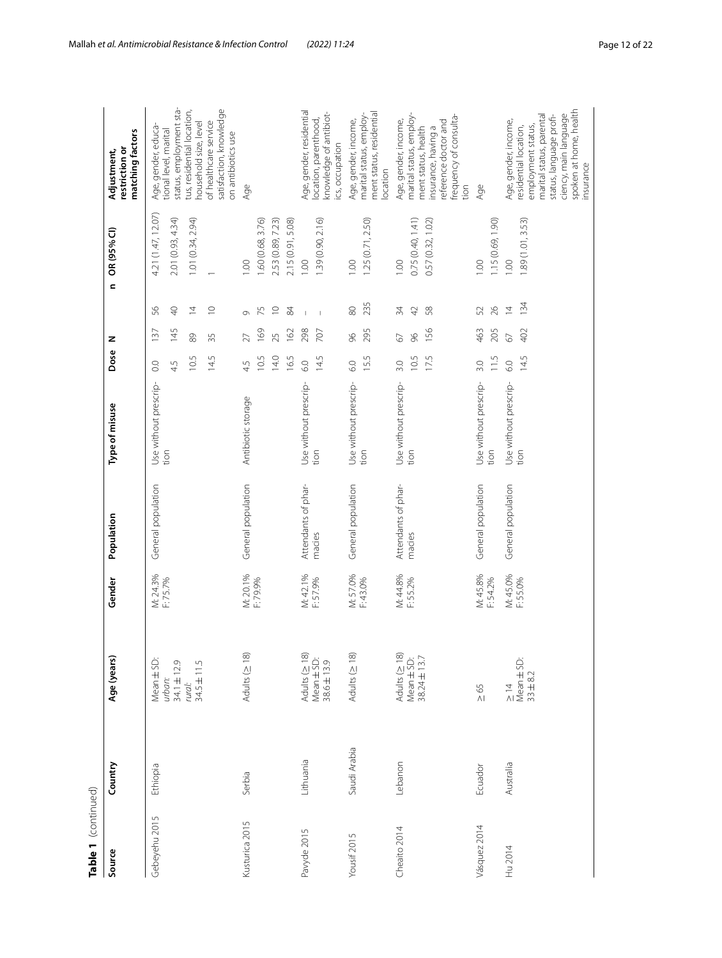| Table 1 (continued) |              |                                                           |                      |                     |                       |                |     |                |                               |                                                                                                                                                                    |
|---------------------|--------------|-----------------------------------------------------------|----------------------|---------------------|-----------------------|----------------|-----|----------------|-------------------------------|--------------------------------------------------------------------------------------------------------------------------------------------------------------------|
| Source              | Country      | Age (years)                                               | Gender               | Population          | Type of misuse        | Dose           | z   |                | OR (95% CI)<br>$\overline{a}$ | matching factors<br>restriction or<br>Adjustment,                                                                                                                  |
| Gebeyehu 2015       | Ethiopia     | Mean ± SD:                                                | M: 24.3%<br>F: 75.7% | General population  | Use without prescrip- | $\rm ^{\circ}$ | 137 | 56             | 4.21 (1.47, 12.07)            | Age, gender, educa-                                                                                                                                                |
|                     |              | 34.1±12.9<br>urban:                                       |                      |                     | tion                  | 4.5            | 145 | $\overline{P}$ | 2.01 (0.93, 4.34)             | status, employment sta-<br>tional level, marital                                                                                                                   |
|                     |              | rural:<br>34.5 ± 11.5                                     |                      |                     |                       | 10.5           | 89  | $\overline{4}$ | 1.01(0.34, 2.94)              | tus, residential location,<br>household size, level                                                                                                                |
|                     |              |                                                           |                      |                     |                       | 14.5           | 35  | $\supseteq$    |                               | satisfaction, knowledge<br>of healthcare service<br>on antibiotics use                                                                                             |
| Kusturica 2015      | Serbia       | Adults (≥ 18)                                             | M: 20.1%             | General population  | Antibiotic storage    | 4.5            | 27  | Ō              | 1.00                          | Age                                                                                                                                                                |
|                     |              |                                                           | F:79.9%              |                     |                       | 10.5           | 169 | 75             | 1.60(0.68, 3.76)              |                                                                                                                                                                    |
|                     |              |                                                           |                      |                     |                       | 14.0           | 25  | $\supseteq$    | 2.53 (0.89, 7.23)             |                                                                                                                                                                    |
|                     |              |                                                           |                      |                     |                       | 16.5           | 162 | $\mathcal{L}$  | 2.15 (0.91, 5.08)             |                                                                                                                                                                    |
| Pavyde 2015         | Lithuania    | Adults ( $\geq$ 18)                                       | M: 42.1%<br>F: 57.9% | Attendants of phar- | Use without prescrip- | 6.0            | 298 | $\overline{1}$ | 001                           | Age, gender, residential                                                                                                                                           |
|                     |              | $\frac{\text{Mean} \pm \text{SD}}{38.6 \pm 13.9}$         |                      | macies              | tion                  | 14.5           | 707 | $\overline{1}$ | 1.39(0.90, 2.16)              | knowledge of antibiot-<br>location, parenthood,<br>cs, occupation                                                                                                  |
| Yousif 2015         | Saudi Arabia | Adults $( \geq 18)$                                       | M: 57.0%<br>F: 43.0% | General population  | Use without prescrip- | 6.0            | 96  | 80             | 1.00                          | Age, gender, income,                                                                                                                                               |
|                     |              |                                                           |                      |                     | tion                  | 15.5           | 295 | 235            | 1.25(0.71, 2.50)              | ment status, residential<br>marital status, employ-<br>ocation                                                                                                     |
| Cheaito 2014        | Lebanon      |                                                           | M: 44.8%<br>F: 55.2% | Attendants of phar- | Use without prescrip- | 3.0            | 67  | 34             | 001                           | Age, gender, income,                                                                                                                                               |
|                     |              | Adults ( $\geq$ 18)<br>Mean $\pm$ SD:<br>38.24 $\pm$ 13.7 |                      | macies              | tion                  | 10.5           | 96  | 42             | 0.75 (0.40, 1.41)             | marital status, employ-                                                                                                                                            |
|                     |              |                                                           |                      |                     |                       | 17.5           | 156 | 58             | 0.57 (0.32, 1.02)             | insurance, having a<br>ment status, health                                                                                                                         |
|                     |              |                                                           |                      |                     |                       |                |     |                |                               | frequency of consulta-<br>eference doctor and<br>tion                                                                                                              |
| Vásquez 2014        | Ecuador      | $\geq 65$                                                 | M: 45.8%             | General population  | Use without prescrip- | 3.0            | 463 | 52             | 00.1                          | Age                                                                                                                                                                |
|                     |              |                                                           | F: 54.2%             |                     | tion                  | 11.5           | 205 | 26             | 1.15 (0.69, 1.90)             |                                                                                                                                                                    |
| Hu 2014             | Australia    | $\frac{1}{4}$                                             | M: 45.0%             | General population  | Use without prescrip- | 6.0            | 67  | $\overline{4}$ | 00.1                          | Age, gender, income,                                                                                                                                               |
|                     |              | Mean $\pm$ SD:<br>$33 \pm 8.2$                            | F:55.0%              |                     | tion                  | 14.5           | 402 | 134            | .89 (1.01, 3.53)              | spoken at home, health<br>ciency, main language<br>status, language profi-<br>marital status, parental<br>employment status,<br>residential location,<br>insurance |
|                     |              |                                                           |                      |                     |                       |                |     |                |                               |                                                                                                                                                                    |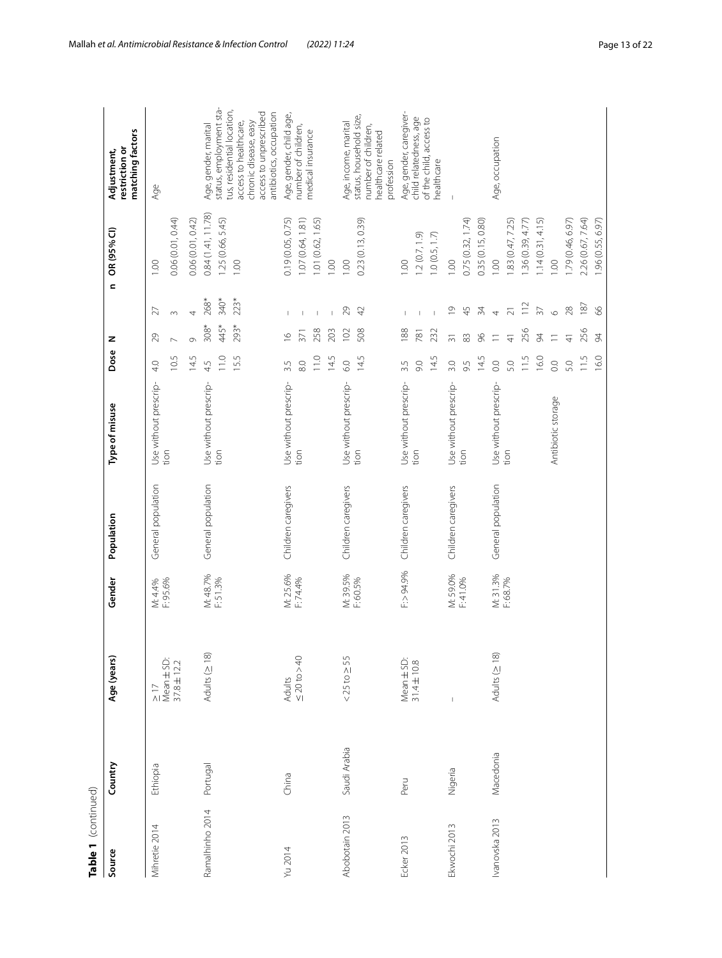| Table 1 (continued) |              |                                   |                      |                     |                               |            |                 |                          |                                       |                                                                            |
|---------------------|--------------|-----------------------------------|----------------------|---------------------|-------------------------------|------------|-----------------|--------------------------|---------------------------------------|----------------------------------------------------------------------------|
| Source              | Country      | Age (years)                       | Gender               | Population          | Type of misuse                | Dose       | z               | $\epsilon$               | OR (95% CI)                           | matching factors<br>restriction or<br>Adjustment,                          |
| Mihretie 2014       | Ethiopia     | $\frac{1}{2}$                     | M: 4.4%              | General population  | Use without prescrip-         | 4.0        | 29              | 27                       | 001                                   | Age                                                                        |
|                     |              | Mean $\pm$ SD:<br>37.8 $\pm$ 12.2 | F: 95.6%             |                     | tion                          | 10.5       | $\overline{ }$  | $\sim$                   | 0.06 (0.01, 0.44)                     |                                                                            |
|                     |              |                                   |                      |                     |                               | 14.5       | $\circ$         | $\overline{\phantom{a}}$ | 0.06 (0.01, 0.42)                     |                                                                            |
| Ramalhinho 2014     | Portugal     | Adults ( $\geq$ 18)               | M: 48.7%<br>F: 51.3% | General population  | Use without prescrip-<br>tion | 110<br>45  | $308*$<br>445*  | 268*<br>340*             | 0.84(1.41, 11.78)<br>1.25(0.66, 5.45) | status, employment sta-<br>Age, gender, marital                            |
|                     |              |                                   |                      |                     |                               | 15.5       | 293*            | $223*$                   | 1.00                                  | tus, residential location,<br>access to healthcare,                        |
|                     |              |                                   |                      |                     |                               |            |                 |                          |                                       | access to unprescribed<br>antibiotics, occupation<br>chronic disease, easy |
| Yu 2014             | China        | <b>Adults</b>                     | M: 25.6%             | Children caregivers | Use without prescrip-         | 3.5        | $\frac{6}{1}$   | $\mathbf{I}$             | 0.19 (0.05, 0.75)                     | Age, gender, child age,                                                    |
|                     |              | $\leq 20$ to $> 40$               | F: 74.4%             |                     | tion                          | 8.0        | 371             |                          | 1.07 (0.64, 1.81)                     | number of children,                                                        |
|                     |              |                                   |                      |                     |                               | 11.0       | 258             | $\mathbb I$              | 1.01 (0.62, 1.65)                     | medical insurance                                                          |
|                     |              |                                   |                      |                     |                               | 14.5       | 203             | $\mathbf{I}$             | 1.00                                  |                                                                            |
| Abobotain 2013      | Saudi Arabia | $<$ 25 to $\geq$ 55               | M: 39.5%             | Children caregivers | Use without prescrip-         | 6.0        | 102             | 29                       | 00.1                                  | Age, income, marital                                                       |
|                     |              |                                   | F: 60.5%             |                     | tion                          | 14.5       | 508             | $\overline{4}$           | 0.23 (0.13, 0.39)                     | status, household size,<br>number of children,                             |
|                     |              |                                   |                      |                     |                               |            |                 |                          |                                       | healthcare related<br>profession                                           |
| Ecker 2013          | Peru         | Mean ± SD:                        | F:> 94.9%            | Children caregivers | Use without prescrip-         | 3.5        | 188             |                          | 00.1                                  | Age, gender, caregiver-                                                    |
|                     |              | $31.4 \pm 10.8$                   |                      |                     | tion                          | 60         | 781             |                          | 1.2(0.7, 1.9)                         | child relatedness, age                                                     |
|                     |              |                                   |                      |                     |                               | 14.5       | 232             |                          | 1.0(0.5, 1.7)                         | of the child, access to<br>healthcare                                      |
| Ekwochi 2013        | Nigeria      |                                   | M: 59.0%             | Children caregivers | Use without prescrip-         | 3.0        | $\overline{31}$ | $\overline{0}$           | 00.1                                  |                                                                            |
|                     |              |                                   | F: 41.0%             |                     | tion                          | 9.5        | 83              | 45                       | 0.75(0.32, 1.74)                      |                                                                            |
|                     |              |                                   |                      |                     |                               | 14.5       | 96              | 34                       | 0.35 (0.15, 0.80)                     |                                                                            |
| Ivanovska 2013      | Macedonia    | Adults $( \geq 18)$               | M: 31.3%<br>F: 68.7% | General population  | Use without prescrip-<br>tion | 0.0        | $\equiv$        | $\overline{4}$           | 001                                   | Age, occupation                                                            |
|                     |              |                                   |                      |                     |                               | 5.0        | $\frac{1}{4}$   | $\overline{21}$          | 83 (0.47, 7.25)                       |                                                                            |
|                     |              |                                   |                      |                     |                               | 11.5       | 256             | $\frac{1}{2}$            | .36(0.39, 4.77)                       |                                                                            |
|                     |              |                                   |                      |                     |                               | 16.0       | $\overline{5}$  | $\overline{57}$          | .14(0.31, 4.15)                       |                                                                            |
|                     |              |                                   |                      |                     | Antibiotic storage            | $\rm ^{0}$ | $\equiv$        | $\circ$                  | 1.00                                  |                                                                            |
|                     |              |                                   |                      |                     |                               | 5.0        | $\frac{1}{4}$   | 28                       | 1.79 (0.46, 6.97)                     |                                                                            |
|                     |              |                                   |                      |                     |                               | 11.5       | 256             | 187                      | 2.26 (0.67, 7.64)                     |                                                                            |
|                     |              |                                   |                      |                     |                               | 16.0       | $\approx$       | $\delta$                 | 1.96 (0.55, 6.97)                     |                                                                            |
|                     |              |                                   |                      |                     |                               |            |                 |                          |                                       |                                                                            |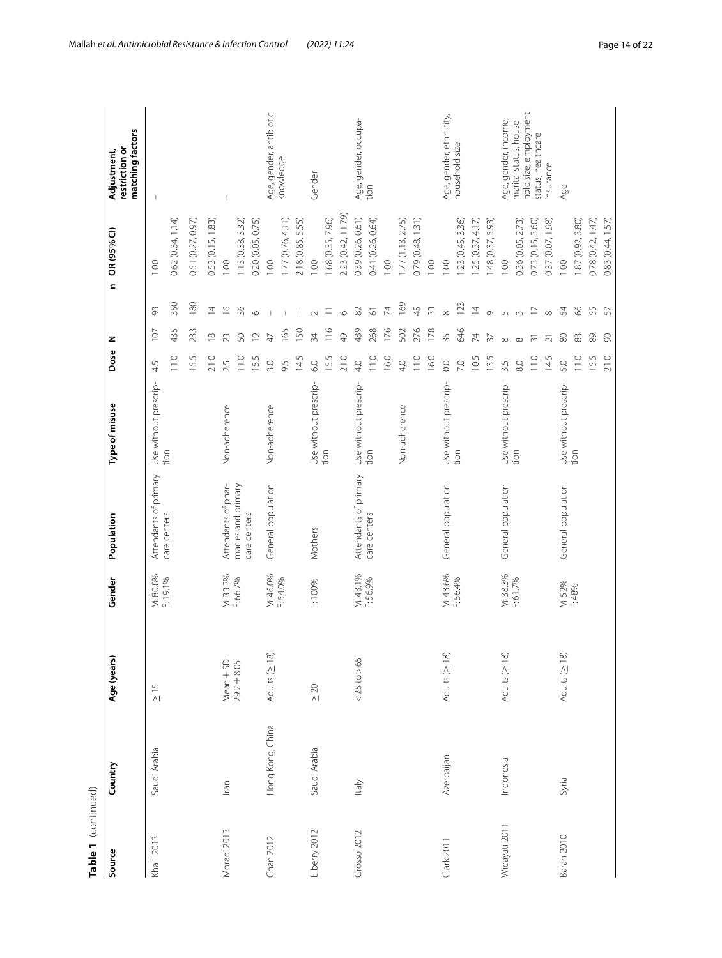| Table 1 (continued) |                  |                     |          |                       |                       |                  |                |                          |                    |                                                   |
|---------------------|------------------|---------------------|----------|-----------------------|-----------------------|------------------|----------------|--------------------------|--------------------|---------------------------------------------------|
| Source              | Country          | Age (years)         | Gender   | Population            | Type of misuse        | Dose             | z              | $\mathbf{C}$             | OR (95% CI)        | matching factors<br>restriction or<br>Adjustment, |
| Khalil 2013         | Saudi Arabia     | $\frac{5}{10}$      | M: 80.8% | Attendants of primary | Use without prescrip- | 4.5              | 107            | 93                       | 1.00               |                                                   |
|                     |                  |                     | F:19.1%  | care centers          | tion                  | 11.0             | 435            | 350                      | 0.62(0.34, 1.14)   |                                                   |
|                     |                  |                     |          |                       |                       | 15.5             | 233            | 180                      | 0.51 (0.27, 0.97)  |                                                   |
|                     |                  |                     |          |                       |                       | 21.0             | $\frac{8}{10}$ | $\overline{4}$           | 0.53 (0.15, 1.83)  |                                                   |
| Moradi 2013         | Iran             | Mean ± SD:          | M: 33.3% | Attendants of phar-   | Non-adherence         | 2.5              | 23             | $\frac{\circ}{\circ}$    | 00.1               | $\overline{1}$                                    |
|                     |                  | $29.2 \pm 8.05$     | F: 66.7% | macies and primary    |                       | 11.0             | 50             | 36                       | .13(0.38, 3.32)    |                                                   |
|                     |                  |                     |          | care centers          |                       | 15.5             | $\overline{0}$ | $\circ$                  | 0.20 (0.05, 0.75)  |                                                   |
| Chan 2012           | Hong Kong, China | Adults (≥ 18)       | M: 46.0% | General population    | Non-adherence         | 3.0              | 47             |                          | $\circ$            | Age, gender, antibiotic                           |
|                     |                  |                     | F: 54.0% |                       |                       | 9.5              | 165            | $\overline{1}$           | .77(0.76, 4.11)    | knowledge                                         |
|                     |                  |                     |          |                       |                       | 14.5             | 150            |                          | 2.18 (0.85, 5.55)  |                                                   |
| Elberry 2012        | Saudi Arabia     | $\geq 20$           | F: 100%  | Mothers               | Use without prescrip- | 6.0              | 34             | $\sim$                   | 00.1               | Gender                                            |
|                     |                  |                     |          |                       | tion                  | 15.5             | 116            | Ξ                        | .68 (0.35, 7.96)   |                                                   |
|                     |                  |                     |          |                       |                       | 21.0             | 49             | $\circ$                  | 2.23 (0.42, 11.79) |                                                   |
| Grosso 2012         | ltaly            | $<$ 25 to $>$ 65    | M: 43.1% | Attendants of primary | Use without prescrip- | 40               | 489            | $\rm 82$                 | 0.39 (0.26, 0.61)  | Age, gender, occupa-                              |
|                     |                  |                     | F:56.9%  | care centers          | tion                  | 11.0             | 268            | $\overline{\circ}$       | 0.41 (0.26, 0.64)  | tion                                              |
|                     |                  |                     |          |                       |                       | 16.0             | 176            | $\overline{\mathcal{K}}$ | 001                |                                                   |
|                     |                  |                     |          |                       | Non-adherence         | 4.0              | 502            | 169                      | .77(1.13, 2.75)    |                                                   |
|                     |                  |                     |          |                       |                       | 11.0             | 276            | 45                       | 0.79 (0.48, 1.31)  |                                                   |
|                     |                  |                     |          |                       |                       | 16.0             | 178            | 33                       | $\circ$            |                                                   |
| Clark 2011          | Azerbaijan       | Adults (≥ 18)       | M: 43.6% | General population    | Use without prescrip- | $\overline{O}$ . | 35             | $\infty$                 | $\circ$            | Age, gender, ethnicity,<br>household size         |
|                     |                  |                     | F: 56.4% |                       | tion                  | 7.0              | 646            | 123                      | .23(0.45, 3.36)    |                                                   |
|                     |                  |                     |          |                       |                       | 10.5             | $\overline{7}$ | $\overline{4}$           | .25(0.37, 4.17)    |                                                   |
|                     |                  |                     |          |                       |                       | 13.5             | 37             | $\circ$                  | .48 (0.37, 5.93)   |                                                   |
| Widayati 2011       | Indonesia        | Adults $( \geq 18)$ | M: 38.3% | General population    | Use without prescrip- | 3.5              | $\infty$       | $\cup$                   | 1.00               | Age, gender, income,                              |
|                     |                  |                     | F: 61.7% |                       | tion                  | $_{\odot}$       | $\infty$       | $\infty$                 | 0.36 (0.05, 2.73)  | hold size, employment<br>marital status, house-   |
|                     |                  |                     |          |                       |                       | 11.0             | $\overline{5}$ | $\overline{\phantom{0}}$ | 0.73(0.15, 3.60)   | status, healthcare                                |
|                     |                  |                     |          |                       |                       | 14.5             | $\overline{2}$ | $\infty$                 | 0.37 (0.07, 1.98)  | nsurance                                          |
| Barah 2010          | Syria            | Adults (≥ 18)       | M: 52%   | General population    | Use without prescrip- | 5.0              | $\rm ^{\rm 6}$ | 54                       | 00.1               | Age                                               |
|                     |                  |                     | F:48%    |                       | tion                  | 11.0             | $83$           | $8^{\circ}$              | 1.87 (0.92, 3.80)  |                                                   |
|                     |                  |                     |          |                       |                       | 15.5             | 89             | 55                       | 0.78(0.42, 1.47)   |                                                   |
|                     |                  |                     |          |                       |                       | 21.0             | $\infty$       | 57                       | 0.83(0.44, 1.57)   |                                                   |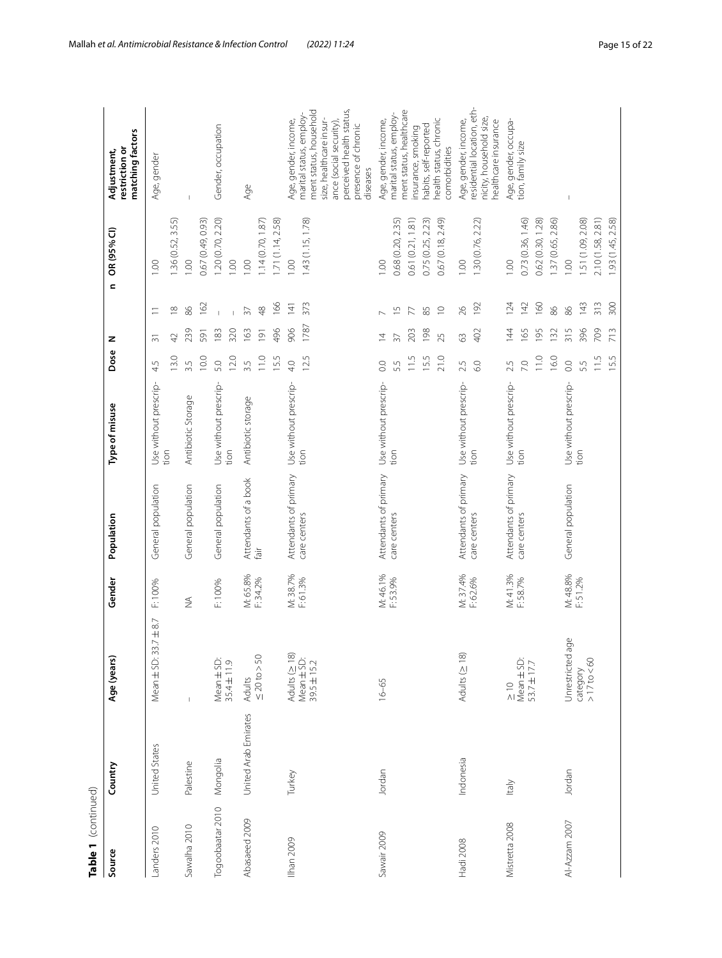| Table 1 (continued) |                      |                                                          |                      |                       |                       |            |                  |                  |                   |                                                                                                                                                                        |
|---------------------|----------------------|----------------------------------------------------------|----------------------|-----------------------|-----------------------|------------|------------------|------------------|-------------------|------------------------------------------------------------------------------------------------------------------------------------------------------------------------|
| Source              | Country              | Age (years)                                              | Gender               | Population            | Type of misuse        | Dose       | z                | $\mathbf{C}$     | OR (95% CI)       | matching factors<br>restriction or<br>Adjustment,                                                                                                                      |
| Landers 2010        | United States        | Mean ± SD: 33.7 ± 8.7                                    | F: 100%              | General population    | Use without prescrip- | 4.5        | $\overline{5}$   | Ξ                | 1.00              | Age, gender                                                                                                                                                            |
|                     |                      |                                                          |                      |                       | tion                  | 13.0       | 42               | $\approx$        | .36 (0.52, 3.55)  |                                                                                                                                                                        |
| Sawalha 2010        | Palestine            |                                                          | $\frac{1}{2}$        | General population    | Antibiotic Storage    | 3.5        | 239              | 86               | 1.00              |                                                                                                                                                                        |
|                     |                      |                                                          |                      |                       |                       | 10.0       | 591              | 162              | 0.67 (0.49, 0.93) |                                                                                                                                                                        |
| Togoobaatar 2010    | Mongolia             | Mean $\pm$ SD:<br>35.4 $\pm$ 11.9                        | F:100%               | General population    | Use without prescrip- | 5.0        | 183              |                  | 1.20 (0.70, 2.20) | Gender, occupation                                                                                                                                                     |
|                     |                      |                                                          |                      |                       | tion                  | 12.0       | 320              | $\mathbf{I}$     | 0.00              |                                                                                                                                                                        |
| Abasaeed 2009       | United Arab Emirates | Adults<br>$\leq 20 \text{ to} > 50$                      | M: 65.8%<br>F: 34.2% | Attendants of a book  | Antibiotic storage    | 3.5        | 163              | $\overline{57}$  | 001               | Age                                                                                                                                                                    |
|                     |                      |                                                          |                      | fair                  |                       | 11.0       | $\overline{191}$ | $\frac{8}{4}$    | .14(0.70, 1.87)   |                                                                                                                                                                        |
|                     |                      |                                                          |                      |                       |                       | 15.5       | 496              | 166              | 1.71(1.14, 2.58)  |                                                                                                                                                                        |
| Ilhan 2009          | Turkey               |                                                          | M: 38.7%<br>F: 61.3% | Attendants of primary | Use without prescrip- | 4.0        | 906              | $\overline{141}$ | 1.00              | Age, gender, income,                                                                                                                                                   |
|                     |                      | Adults ( $\geq$ 18)<br>Mean $\pm$ SD:<br>39.5 $\pm$ 15.2 |                      | care centers          | tion                  | 12.5       | 1787             | 373              | 1.43 (1.15, 1.78) | ment status, household<br>perceived health status,<br>marital status, employ-<br>size, healthcare insur-<br>ance (social security),<br>presence of chronic<br>diseases |
| Sawair 2009         | Jordan               | $16 - 65$                                                | M: 46.1%             | Attendants of primary | Use without prescrip- | 0.0        | $\overline{4}$   |                  | 1.00              | Age, gender, income,                                                                                                                                                   |
|                     |                      |                                                          | F: 53.9%             | care centers          | tion                  | 5.5        | $\overline{37}$  | 5J               | 0.68 (0.20, 2.35) | marital status, employ-                                                                                                                                                |
|                     |                      |                                                          |                      |                       |                       | 11.5       | 203              | $\overline{\pi}$ | 0.61(0.21, 1.81)  | ment status, healthcare<br>insurance, smoking                                                                                                                          |
|                     |                      |                                                          |                      |                       |                       | 15.5       | 198              | 85               | 0.75 (0.25, 2.23) | habits, self-reported                                                                                                                                                  |
|                     |                      |                                                          |                      |                       |                       | 21.0       | 25               | $\supseteq$      | 0.67 (0.18, 2.49) | health status, chronic<br>comorbidities                                                                                                                                |
| Hadi 2008           | Indonesia            | Adults ( $\geq$ 18)                                      | M: 37.4%<br>F: 62.6% | Attendants of primary | Use without prescrip- | 2.5        | $63$             | 26               | 1.00              | Age, gender, income,                                                                                                                                                   |
|                     |                      |                                                          |                      | care centers          | tion                  | 60         | 402              | 192              | 1.30 (0.76, 2.22) | residential location, eth-<br>nicity, household size,<br>healthcare insurance                                                                                          |
| Mistretta 2008      | Italy                | $\frac{10}{10}$                                          | M: 41.3%             | Attendants of primary | Use without prescrip- | 2.5        | 14               | 124              | 1.00              | Age, gender, occupa-                                                                                                                                                   |
|                     |                      | Mean $\pm$ SD:<br>53.7 $\pm$ 17.7                        | F:58.7%              | care centers          | tion                  | 7.0        | 165              | 142              | 0.73 (0.36, 1.46) | tion, family size                                                                                                                                                      |
|                     |                      |                                                          |                      |                       |                       | 11.0       | 195              | 160              | 0.62 (0.30, 1.28) |                                                                                                                                                                        |
|                     |                      |                                                          |                      |                       |                       | 16.0       | 132              | 86               | 1.37 (0.65, 2.86) |                                                                                                                                                                        |
| Al-Azzam 2007       | Jordan               | Unrestricted age                                         | M: 48.8%<br>F: 51.2% | General population    | Use without prescrip- | $_{\odot}$ | 315              | 86               | 1.00              |                                                                                                                                                                        |
|                     |                      | $>17$ to $<60$<br>category                               |                      |                       | tion                  | 5.5        | 396              | 143              | 1.51 (1.09, 2.08) |                                                                                                                                                                        |
|                     |                      |                                                          |                      |                       |                       | 11.5       | 709              | 313              | 2.10 (1.58, 2.81) |                                                                                                                                                                        |
|                     |                      |                                                          |                      |                       |                       | 15.5       | 713              | 300              | 1.93 (1.45, 2.58) |                                                                                                                                                                        |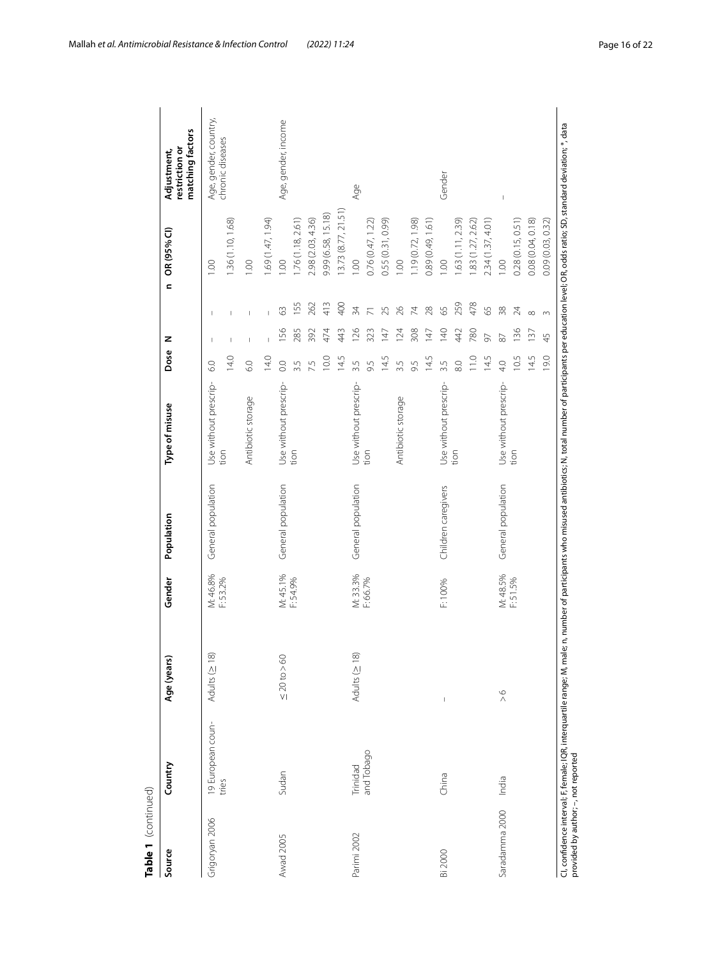| Source         | Country           | Age (years)                                                                                                                                                                                                                                                                                                                                                                                                    | Gender   | Population          | Type of misuse        | Dose              | z          |                | OR (95% CI)<br>$\mathbf{C}$ | matching factors<br>restriction or<br>Adjustment, |
|----------------|-------------------|----------------------------------------------------------------------------------------------------------------------------------------------------------------------------------------------------------------------------------------------------------------------------------------------------------------------------------------------------------------------------------------------------------------|----------|---------------------|-----------------------|-------------------|------------|----------------|-----------------------------|---------------------------------------------------|
| Grigoryan 2006 | 19 European coun- | Adults (≥ 18)                                                                                                                                                                                                                                                                                                                                                                                                  | M: 46.8% | General population  | Use without prescrip- | $\overline{6}$ .0 | J.         | т              | $\frac{8}{10}$              | Age, gender, country,                             |
|                | tries             |                                                                                                                                                                                                                                                                                                                                                                                                                | F: 53.2% |                     | tion                  | 14.0              | Ï          |                | 1.36 (1.10, 1.68)           | chronic diseases                                  |
|                |                   |                                                                                                                                                                                                                                                                                                                                                                                                                |          |                     | Antibiotic storage    | 6.0               |            |                | 1.00                        |                                                   |
|                |                   |                                                                                                                                                                                                                                                                                                                                                                                                                |          |                     |                       | 14.0              |            |                | .69 (1.47, 1.94)            |                                                   |
| Awad 2005      | Sudan             | $\leq$ 20 to $>$ 60                                                                                                                                                                                                                                                                                                                                                                                            | M: 45.1% | General population  | Use without prescrip- | $\overline{0}$ .  | <b>156</b> | 3              | 00.1                        | Age, gender, income                               |
|                |                   |                                                                                                                                                                                                                                                                                                                                                                                                                | F: 54.9% |                     | tion                  | 3.5               | 285        | 155            | .76 (1.18, 2.61)            |                                                   |
|                |                   |                                                                                                                                                                                                                                                                                                                                                                                                                |          |                     |                       | 7.5               | 392        | 262            | 2.98 (2.03, 4.36)           |                                                   |
|                |                   |                                                                                                                                                                                                                                                                                                                                                                                                                |          |                     |                       | 10.0              | 474        | 413            | 9.99 (6.58, 15.18)          |                                                   |
|                |                   |                                                                                                                                                                                                                                                                                                                                                                                                                |          |                     |                       | 14.5              | 443        | 400            | 13.73(8.77, 21.51)          |                                                   |
| Parimi 2002    | Trinidad          | Adults (≥ 18)                                                                                                                                                                                                                                                                                                                                                                                                  | M: 33.3% | General population  | Use without prescrip- | 3.5               | 126        | 34             | 1.00                        | Age                                               |
|                | and Tobago        |                                                                                                                                                                                                                                                                                                                                                                                                                | F: 66.7% |                     | tion                  | 9.5               | 323        |                | 0.76 (0.47, 1.22)           |                                                   |
|                |                   |                                                                                                                                                                                                                                                                                                                                                                                                                |          |                     |                       | 14.5              | 147        | 25             | 0.55 (0.31, 0.99)           |                                                   |
|                |                   |                                                                                                                                                                                                                                                                                                                                                                                                                |          |                     | Antibiotic storage    | 3.5               | 124        | $\approx$      | 1.00                        |                                                   |
|                |                   |                                                                                                                                                                                                                                                                                                                                                                                                                |          |                     |                       | 9.5               | 308        | $\overline{7}$ | 1.19 (0.72, 1.98)           |                                                   |
|                |                   |                                                                                                                                                                                                                                                                                                                                                                                                                |          |                     |                       | 14.5              | 147        | 28             | 0.89 (0.49, 1.61)           |                                                   |
| Bi 2000        | China             | $\begin{array}{c} \rule{0pt}{2ex} \rule{0pt}{2ex} \rule{0pt}{2ex} \rule{0pt}{2ex} \rule{0pt}{2ex} \rule{0pt}{2ex} \rule{0pt}{2ex} \rule{0pt}{2ex} \rule{0pt}{2ex} \rule{0pt}{2ex} \rule{0pt}{2ex} \rule{0pt}{2ex} \rule{0pt}{2ex} \rule{0pt}{2ex} \rule{0pt}{2ex} \rule{0pt}{2ex} \rule{0pt}{2ex} \rule{0pt}{2ex} \rule{0pt}{2ex} \rule{0pt}{2ex} \rule{0pt}{2ex} \rule{0pt}{2ex} \rule{0pt}{2ex} \rule{0pt}{$ | F:100%   | Children caregivers | Use without prescrip- | 3.5               | 140        | 59             | 1.00                        | Gender                                            |
|                |                   |                                                                                                                                                                                                                                                                                                                                                                                                                |          |                     | tion                  | 8.0               | 442        | 259            | .63 (1.11, 2.39)            |                                                   |
|                |                   |                                                                                                                                                                                                                                                                                                                                                                                                                |          |                     |                       | 11.0              | 780        | 478            | 1.83 (1.27, 2.62)           |                                                   |
|                |                   |                                                                                                                                                                                                                                                                                                                                                                                                                |          |                     |                       | 14.5              | 57         | 59             | 2.34 (1.37, 4.01)           |                                                   |
| Saradamma 2000 | India             | $\frac{6}{1}$                                                                                                                                                                                                                                                                                                                                                                                                  | M: 48.5% | General population  | Use without prescrip- | 4.0               | 87         | 38             | 1.00                        | $\mathsf I$                                       |
|                |                   |                                                                                                                                                                                                                                                                                                                                                                                                                | F: 51.5% |                     | tion                  | 10.5              | 36         | 24             | 0.28(0.15, 0.51)            |                                                   |
|                |                   |                                                                                                                                                                                                                                                                                                                                                                                                                |          |                     |                       | 14.5              | 137        | $\infty$       | 0.08(0.04, 0.18)            |                                                   |
|                |                   |                                                                                                                                                                                                                                                                                                                                                                                                                |          |                     |                       | 19.0              | 45         | $\infty$       | 0.09 (0.03, 0.32)           |                                                   |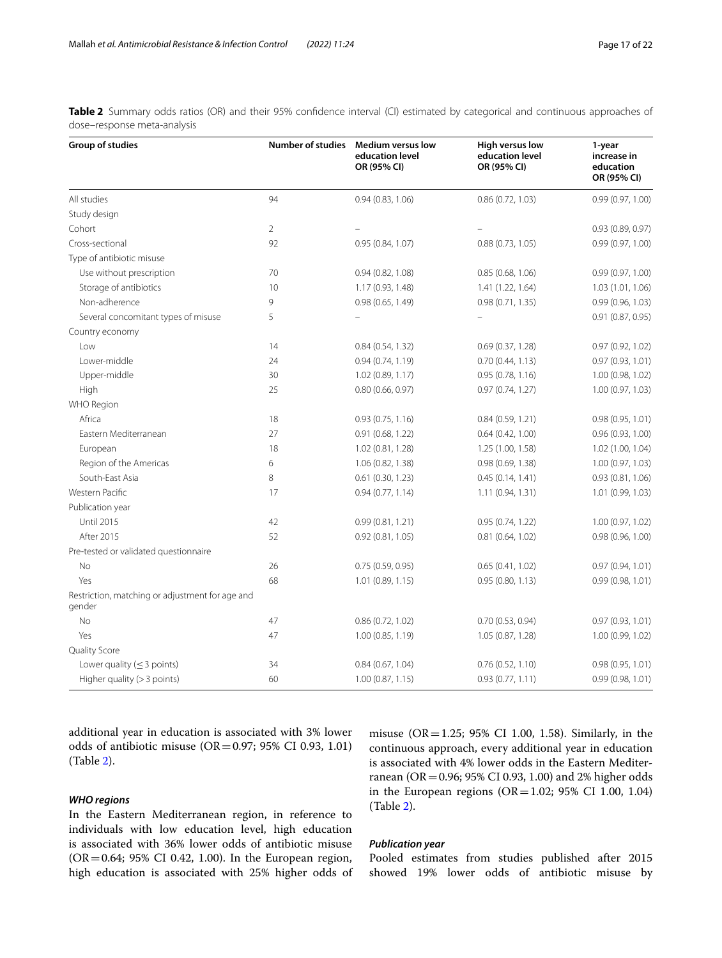<span id="page-16-0"></span>**Table 2** Summary odds ratios (OR) and their 95% confidence interval (CI) estimated by categorical and continuous approaches of dose–response meta-analysis

| Group of studies                                          | <b>Number of studies</b> | <b>Medium versus low</b><br>education level<br>OR (95% CI) | High versus low<br>education level<br>OR (95% CI) | 1-year<br>increase in<br>education<br>OR (95% CI) |
|-----------------------------------------------------------|--------------------------|------------------------------------------------------------|---------------------------------------------------|---------------------------------------------------|
| All studies                                               | 94                       | 0.94(0.83, 1.06)                                           | 0.86(0.72, 1.03)                                  | 0.99(0.97, 1.00)                                  |
| Study design                                              |                          |                                                            |                                                   |                                                   |
| Cohort                                                    | $\overline{2}$           |                                                            |                                                   | 0.93(0.89, 0.97)                                  |
| Cross-sectional                                           | 92                       | 0.95(0.84, 1.07)                                           | 0.88(0.73, 1.05)                                  | 0.99(0.97, 1.00)                                  |
| Type of antibiotic misuse                                 |                          |                                                            |                                                   |                                                   |
| Use without prescription                                  | 70                       | 0.94(0.82, 1.08)                                           | 0.85(0.68, 1.06)                                  | 0.99 (0.97, 1.00)                                 |
| Storage of antibiotics                                    | 10                       | 1.17 (0.93, 1.48)                                          | 1.41 (1.22, 1.64)                                 | 1.03(1.01, 1.06)                                  |
| Non-adherence                                             | 9                        | 0.98(0.65, 1.49)                                           | 0.98(0.71, 1.35)                                  | 0.99(0.96, 1.03)                                  |
| Several concomitant types of misuse                       | 5                        |                                                            |                                                   | 0.91 (0.87, 0.95)                                 |
| Country economy                                           |                          |                                                            |                                                   |                                                   |
| Low                                                       | 14                       | 0.84(0.54, 1.32)                                           | 0.69(0.37, 1.28)                                  | 0.97 (0.92, 1.02)                                 |
| Lower-middle                                              | 24                       | 0.94(0.74, 1.19)                                           | 0.70(0.44, 1.13)                                  | 0.97(0.93, 1.01)                                  |
| Upper-middle                                              | 30                       | 1.02 (0.89, 1.17)                                          | 0.95(0.78, 1.16)                                  | 1.00 (0.98, 1.02)                                 |
| High                                                      | 25                       | 0.80(0.66, 0.97)                                           | 0.97(0.74, 1.27)                                  | 1.00 (0.97, 1.03)                                 |
| WHO Region                                                |                          |                                                            |                                                   |                                                   |
| Africa                                                    | 18                       | 0.93(0.75, 1.16)                                           | 0.84(0.59, 1.21)                                  | 0.98(0.95, 1.01)                                  |
| Eastern Mediterranean                                     | 27                       | 0.91(0.68, 1.22)                                           | 0.64(0.42, 1.00)                                  | 0.96 (0.93, 1.00)                                 |
| European                                                  | 18                       | 1.02(0.81, 1.28)                                           | 1.25 (1.00, 1.58)                                 | 1.02 (1.00, 1.04)                                 |
| Region of the Americas                                    | 6                        | 1.06 (0.82, 1.38)                                          | 0.98 (0.69, 1.38)                                 | 1.00 (0.97, 1.03)                                 |
| South-East Asia                                           | 8                        | $0.61$ $(0.30, 1.23)$                                      | 0.45(0.14, 1.41)                                  | 0.93(0.81, 1.06)                                  |
| Western Pacific                                           | 17                       | 0.94(0.77, 1.14)                                           | 1.11 (0.94, 1.31)                                 | 1.01 (0.99, 1.03)                                 |
| Publication year                                          |                          |                                                            |                                                   |                                                   |
| <b>Until 2015</b>                                         | 42                       | 0.99(0.81, 1.21)                                           | 0.95 (0.74, 1.22)                                 | 1.00(0.97, 1.02)                                  |
| After 2015                                                | 52                       | 0.92(0.81, 1.05)                                           | 0.81 (0.64, 1.02)                                 | 0.98 (0.96, 1.00)                                 |
| Pre-tested or validated questionnaire                     |                          |                                                            |                                                   |                                                   |
| No                                                        | 26                       | 0.75(0.59, 0.95)                                           | 0.65(0.41, 1.02)                                  | 0.97(0.94, 1.01)                                  |
| Yes                                                       | 68                       | 1.01(0.89, 1.15)                                           | 0.95(0.80, 1.13)                                  | 0.99(0.98, 1.01)                                  |
| Restriction, matching or adjustment for age and<br>gender |                          |                                                            |                                                   |                                                   |
| <b>No</b>                                                 | 47                       | 0.86(0.72, 1.02)                                           | 0.70(0.53, 0.94)                                  | 0.97(0.93, 1.01)                                  |
| Yes                                                       | 47                       | 1.00 (0.85, 1.19)                                          | 1.05 (0.87, 1.28)                                 | 1.00(0.99, 1.02)                                  |
| Quality Score                                             |                          |                                                            |                                                   |                                                   |
| Lower quality ( $\leq$ 3 points)                          | 34                       | 0.84(0.67, 1.04)                                           | 0.76(0.52, 1.10)                                  | 0.98(0.95, 1.01)                                  |
| Higher quality $(>3$ points)                              | 60                       | 1.00(0.87, 1.15)                                           | 0.93 (0.77, 1.11)                                 | 0.99(0.98, 1.01)                                  |

additional year in education is associated with 3% lower odds of antibiotic misuse (OR=0.97; 95% CI 0.93, 1.01) (Table [2](#page-16-0)).

# *WHO regions*

In the Eastern Mediterranean region, in reference to individuals with low education level, high education is associated with 36% lower odds of antibiotic misuse  $(OR = 0.64; 95\% \text{ CI } 0.42, 1.00)$ . In the European region, high education is associated with 25% higher odds of

#### *Publication year*

(Table [2\)](#page-16-0).

Pooled estimates from studies published after 2015 showed 19% lower odds of antibiotic misuse by

misuse ( $OR = 1.25$ ; 95% CI 1.00, 1.58). Similarly, in the continuous approach, every additional year in education is associated with 4% lower odds in the Eastern Mediterranean (OR=0.96; 95% CI 0.93, 1.00) and 2% higher odds in the European regions (OR=1.02; 95% CI 1.00, 1.04)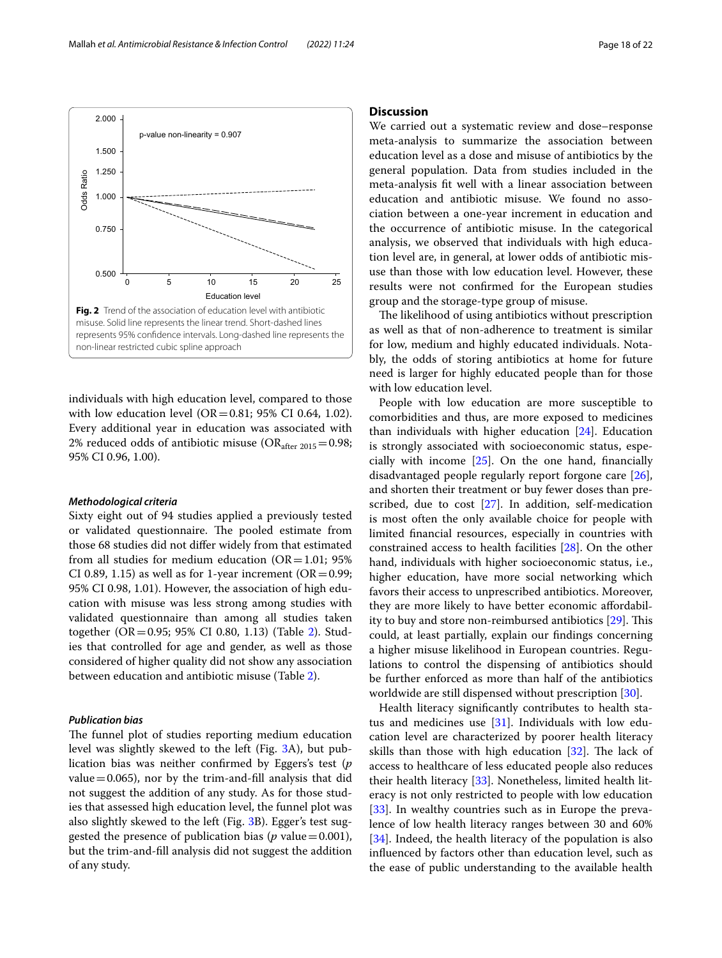<span id="page-17-0"></span>individuals with high education level, compared to those with low education level (OR=0.81; 95% CI 0.64, 1.02). Every additional year in education was associated with 2% reduced odds of antibiotic misuse ( $OR_{after\ 2015}=0.98;$ 95% CI 0.96, 1.00).

## *Methodological criteria*

Sixty eight out of 94 studies applied a previously tested or validated questionnaire. The pooled estimate from those 68 studies did not difer widely from that estimated from all studies for medium education ( $OR = 1.01$ ; 95% CI 0.89, 1.15) as well as for 1-year increment ( $OR = 0.99$ ; 95% CI 0.98, 1.01). However, the association of high education with misuse was less strong among studies with validated questionnaire than among all studies taken together (OR=0.95; 95% CI 0.80, 1.13) (Table [2](#page-16-0)). Studies that controlled for age and gender, as well as those considered of higher quality did not show any association between education and antibiotic misuse (Table [2\)](#page-16-0).

# *Publication bias*

The funnel plot of studies reporting medium education level was slightly skewed to the left (Fig. [3A](#page-18-0)), but publication bias was neither confrmed by Eggers's test (*p* value  $=$  0.065), nor by the trim-and-fill analysis that did not suggest the addition of any study. As for those studies that assessed high education level, the funnel plot was also slightly skewed to the left (Fig. [3B](#page-18-0)). Egger's test suggested the presence of publication bias ( $p$  value=0.001), but the trim-and-fll analysis did not suggest the addition of any study.

# **Discussion**

We carried out a systematic review and dose–response meta-analysis to summarize the association between education level as a dose and misuse of antibiotics by the general population. Data from studies included in the meta-analysis ft well with a linear association between education and antibiotic misuse. We found no association between a one-year increment in education and the occurrence of antibiotic misuse. In the categorical analysis, we observed that individuals with high education level are, in general, at lower odds of antibiotic misuse than those with low education level. However, these results were not confrmed for the European studies group and the storage-type group of misuse.

The likelihood of using antibiotics without prescription as well as that of non-adherence to treatment is similar for low, medium and highly educated individuals. Notably, the odds of storing antibiotics at home for future need is larger for highly educated people than for those with low education level.

People with low education are more susceptible to comorbidities and thus, are more exposed to medicines than individuals with higher education  $[24]$  $[24]$  $[24]$ . Education is strongly associated with socioeconomic status, especially with income [[25](#page-20-23)]. On the one hand, fnancially disadvantaged people regularly report forgone care [\[26](#page-20-24)], and shorten their treatment or buy fewer doses than prescribed, due to cost [[27\]](#page-20-25). In addition, self-medication is most often the only available choice for people with limited fnancial resources, especially in countries with constrained access to health facilities [\[28](#page-20-26)]. On the other hand, individuals with higher socioeconomic status, i.e., higher education, have more social networking which favors their access to unprescribed antibiotics. Moreover, they are more likely to have better economic afordability to buy and store non-reimbursed antibiotics  $[29]$  $[29]$ . This could, at least partially, explain our fndings concerning a higher misuse likelihood in European countries. Regulations to control the dispensing of antibiotics should be further enforced as more than half of the antibiotics worldwide are still dispensed without prescription [[30\]](#page-20-28).

Health literacy signifcantly contributes to health status and medicines use [\[31](#page-20-29)]. Individuals with low education level are characterized by poorer health literacy skills than those with high education  $[32]$  $[32]$ . The lack of access to healthcare of less educated people also reduces their health literacy [\[33\]](#page-21-1). Nonetheless, limited health literacy is not only restricted to people with low education [[33\]](#page-21-1). In wealthy countries such as in Europe the prevalence of low health literacy ranges between 30 and 60% [[34\]](#page-21-2). Indeed, the health literacy of the population is also infuenced by factors other than education level, such as the ease of public understanding to the available health

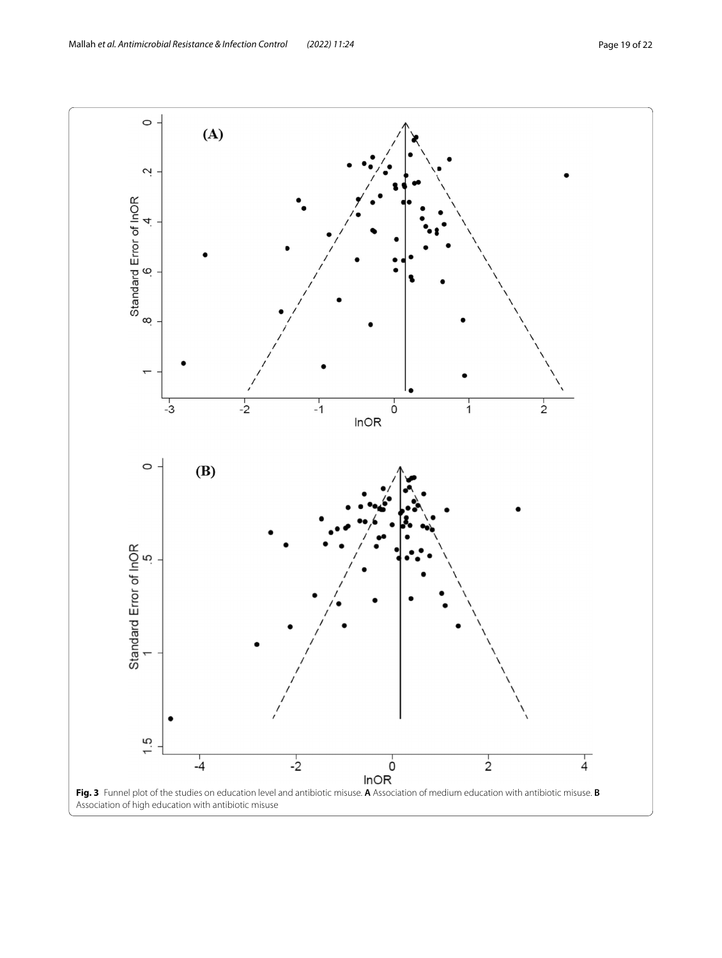<span id="page-18-0"></span>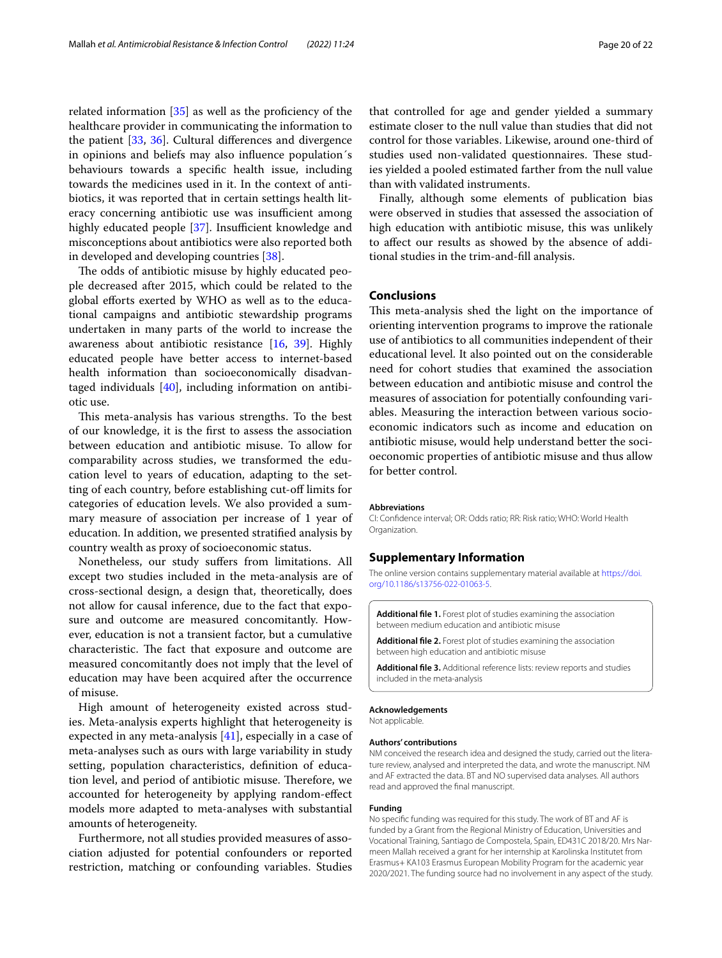related information  $[35]$  as well as the proficiency of the healthcare provider in communicating the information to the patient [[33](#page-21-1), [36\]](#page-21-4). Cultural diferences and divergence in opinions and beliefs may also infuence population´s behaviours towards a specifc health issue, including towards the medicines used in it. In the context of antibiotics, it was reported that in certain settings health literacy concerning antibiotic use was insufficient among highly educated people  $[37]$  $[37]$ . Insufficient knowledge and misconceptions about antibiotics were also reported both in developed and developing countries [\[38](#page-21-6)].

The odds of antibiotic misuse by highly educated people decreased after 2015, which could be related to the global eforts exerted by WHO as well as to the educational campaigns and antibiotic stewardship programs undertaken in many parts of the world to increase the awareness about antibiotic resistance [\[16](#page-20-15), [39](#page-21-7)]. Highly educated people have better access to internet-based health information than socioeconomically disadvantaged individuals [[40\]](#page-21-8), including information on antibiotic use.

This meta-analysis has various strengths. To the best of our knowledge, it is the frst to assess the association between education and antibiotic misuse. To allow for comparability across studies, we transformed the education level to years of education, adapting to the setting of each country, before establishing cut-of limits for categories of education levels. We also provided a summary measure of association per increase of 1 year of education. In addition, we presented stratifed analysis by country wealth as proxy of socioeconomic status.

Nonetheless, our study sufers from limitations. All except two studies included in the meta-analysis are of cross-sectional design, a design that, theoretically, does not allow for causal inference, due to the fact that exposure and outcome are measured concomitantly. However, education is not a transient factor, but a cumulative characteristic. The fact that exposure and outcome are measured concomitantly does not imply that the level of education may have been acquired after the occurrence of misuse.

High amount of heterogeneity existed across studies. Meta-analysis experts highlight that heterogeneity is expected in any meta-analysis [[41\]](#page-21-9), especially in a case of meta-analyses such as ours with large variability in study setting, population characteristics, defnition of education level, and period of antibiotic misuse. Therefore, we accounted for heterogeneity by applying random-efect models more adapted to meta-analyses with substantial amounts of heterogeneity.

Furthermore, not all studies provided measures of association adjusted for potential confounders or reported restriction, matching or confounding variables. Studies

that controlled for age and gender yielded a summary estimate closer to the null value than studies that did not control for those variables. Likewise, around one-third of studies used non-validated questionnaires. These studies yielded a pooled estimated farther from the null value than with validated instruments.

Finally, although some elements of publication bias were observed in studies that assessed the association of high education with antibiotic misuse, this was unlikely to afect our results as showed by the absence of additional studies in the trim-and-fll analysis.

## **Conclusions**

This meta-analysis shed the light on the importance of orienting intervention programs to improve the rationale use of antibiotics to all communities independent of their educational level. It also pointed out on the considerable need for cohort studies that examined the association between education and antibiotic misuse and control the measures of association for potentially confounding variables. Measuring the interaction between various socioeconomic indicators such as income and education on antibiotic misuse, would help understand better the socioeconomic properties of antibiotic misuse and thus allow for better control.

#### **Abbreviations**

CI: Confdence interval; OR: Odds ratio; RR: Risk ratio; WHO: World Health Organization.

#### **Supplementary Information**

The online version contains supplementary material available at [https://doi.](https://doi.org/10.1186/s13756-022-01063-5) [org/10.1186/s13756-022-01063-5](https://doi.org/10.1186/s13756-022-01063-5).

<span id="page-19-1"></span>**Additional fle 1.** Forest plot of studies examining the association between medium education and antibiotic misuse

<span id="page-19-0"></span>**Additional fle 2.** Forest plot of studies examining the association between high education and antibiotic misuse

**Additional fle 3.** Additional reference lists: review reports and studies included in the meta-analysis

#### **Acknowledgements**

Not applicable.

#### **Authors' contributions**

NM conceived the research idea and designed the study, carried out the literature review, analysed and interpreted the data, and wrote the manuscript. NM and AF extracted the data. BT and NO supervised data analyses. All authors read and approved the fnal manuscript.

#### **Funding**

No specifc funding was required for this study. The work of BT and AF is funded by a Grant from the Regional Ministry of Education, Universities and Vocational Training, Santiago de Compostela, Spain, ED431C 2018/20. Mrs Narmeen Mallah received a grant for her internship at Karolinska Institutet from Erasmus+ KA103 Erasmus European Mobility Program for the academic year 2020/2021. The funding source had no involvement in any aspect of the study.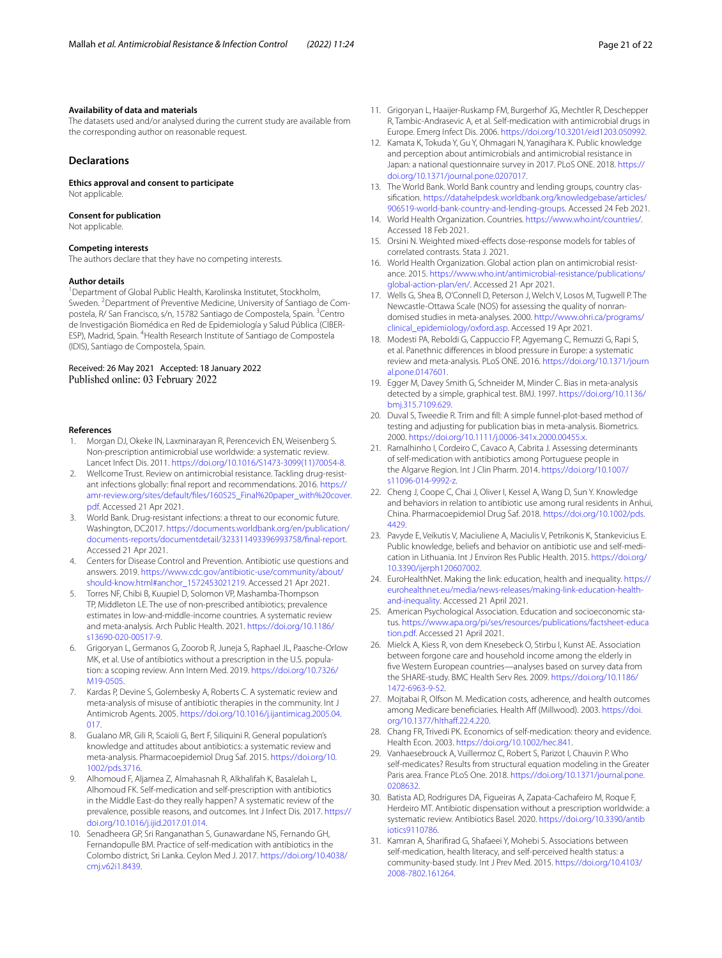# **Availability of data and materials**

The datasets used and/or analysed during the current study are available from the corresponding author on reasonable request.

# **Declarations**

**Ethics approval and consent to participate** Not applicable.

#### **Consent for publication**

Not applicable.

## **Competing interests**

The authors declare that they have no competing interests.

#### **Author details**

<sup>1</sup> Department of Global Public Health, Karolinska Institutet, Stockholm, Sweden. <sup>2</sup> Department of Preventive Medicine, University of Santiago de Compostela, R/ San Francisco, s/n, 15782 Santiago de Compostela, Spain. <sup>3</sup>Centro de Investigación Biomédica en Red de Epidemiología y Salud Pública (CIBER-ESP), Madrid, Spain. <sup>4</sup> Health Research Institute of Santiago de Compostela (IDIS), Santiago de Compostela, Spain.

# Received: 26 May 2021 Accepted: 18 January 2022 Published online: 03 February 2022

#### **References**

- <span id="page-20-0"></span>1. Morgan DJ, Okeke IN, Laxminarayan R, Perencevich EN, Weisenberg S. Non-prescription antimicrobial use worldwide: a systematic review. Lancet Infect Dis. 2011. [https://doi.org/10.1016/S1473-3099\(11\)70054-8](https://doi.org/10.1016/S1473-3099(11)70054-8).
- <span id="page-20-1"></span>2. Wellcome Trust. Review on antimicrobial resistance. Tackling drug-resistant infections globally: fnal report and recommendations. 2016. [https://](https://amr-review.org/sites/default/files/160525_Final%20paper_with%20cover.pdf) [amr-review.org/sites/default/fles/160525\\_Final%20paper\\_with%20cover.](https://amr-review.org/sites/default/files/160525_Final%20paper_with%20cover.pdf) [pdf.](https://amr-review.org/sites/default/files/160525_Final%20paper_with%20cover.pdf) Accessed 21 Apr 2021.
- <span id="page-20-2"></span>3. World Bank. Drug-resistant infections: a threat to our economic future. Washington, DC2017. [https://documents.worldbank.org/en/publication/](https://documents.worldbank.org/en/publication/documents-reports/documentdetail/323311493396993758/final-report) [documents-reports/documentdetail/323311493396993758/fnal-report](https://documents.worldbank.org/en/publication/documents-reports/documentdetail/323311493396993758/final-report). Accessed 21 Apr 2021.
- <span id="page-20-3"></span>4. Centers for Disease Control and Prevention. Antibiotic use questions and answers. 2019. [https://www.cdc.gov/antibiotic-use/community/about/](https://www.cdc.gov/antibiotic-use/community/about/should-know.html#anchor_1572453021219) [should-know.html#anchor\\_1572453021219](https://www.cdc.gov/antibiotic-use/community/about/should-know.html#anchor_1572453021219). Accessed 21 Apr 2021.
- <span id="page-20-4"></span>5. Torres NF, Chibi B, Kuupiel D, Solomon VP, Mashamba-Thompson TP, Middleton LE. The use of non-prescribed antibiotics; prevalence estimates in low-and-middle-income countries. A systematic review and meta-analysis. Arch Public Health. 2021. [https://doi.org/10.1186/](https://doi.org/10.1186/s13690-020-00517-9) [s13690-020-00517-9](https://doi.org/10.1186/s13690-020-00517-9).
- <span id="page-20-5"></span>6. Grigoryan L, Germanos G, Zoorob R, Juneja S, Raphael JL, Paasche-Orlow MK, et al. Use of antibiotics without a prescription in the U.S. population: a scoping review. Ann Intern Med. 2019. [https://doi.org/10.7326/](https://doi.org/10.7326/M19-0505) [M19-0505.](https://doi.org/10.7326/M19-0505)
- <span id="page-20-6"></span>7. Kardas P, Devine S, Golembesky A, Roberts C. A systematic review and meta-analysis of misuse of antibiotic therapies in the community. Int J Antimicrob Agents. 2005. [https://doi.org/10.1016/j.ijantimicag.2005.04.](https://doi.org/10.1016/j.ijantimicag.2005.04.017) [017.](https://doi.org/10.1016/j.ijantimicag.2005.04.017)
- <span id="page-20-7"></span>8. Gualano MR, Gili R, Scaioli G, Bert F, Siliquini R. General population's knowledge and attitudes about antibiotics: a systematic review and meta-analysis. Pharmacoepidemiol Drug Saf. 2015. [https://doi.org/10.](https://doi.org/10.1002/pds.3716) [1002/pds.3716.](https://doi.org/10.1002/pds.3716)
- <span id="page-20-8"></span>9. Alhomoud F, Aljamea Z, Almahasnah R, Alkhalifah K, Basalelah L, Alhomoud FK. Self-medication and self-prescription with antibiotics in the Middle East-do they really happen? A systematic review of the prevalence, possible reasons, and outcomes. Int J Infect Dis. 2017. [https://](https://doi.org/10.1016/j.ijid.2017.01.014) [doi.org/10.1016/j.ijid.2017.01.014.](https://doi.org/10.1016/j.ijid.2017.01.014)
- <span id="page-20-9"></span>10. Senadheera GP, Sri Ranganathan S, Gunawardane NS, Fernando GH, Fernandopulle BM. Practice of self-medication with antibiotics in the Colombo district, Sri Lanka. Ceylon Med J. 2017. [https://doi.org/10.4038/](https://doi.org/10.4038/cmj.v62i1.8439) [cmj.v62i1.8439.](https://doi.org/10.4038/cmj.v62i1.8439)
- <span id="page-20-10"></span>11. Grigoryan L, Haaijer-Ruskamp FM, Burgerhof JG, Mechtler R, Deschepper R, Tambic-Andrasevic A, et al. Self-medication with antimicrobial drugs in Europe. Emerg Infect Dis. 2006.<https://doi.org/10.3201/eid1203.050992>.
- <span id="page-20-11"></span>12. Kamata K, Tokuda Y, Gu Y, Ohmagari N, Yanagihara K. Public knowledge and perception about antimicrobials and antimicrobial resistance in Japan: a national questionnaire survey in 2017. PLoS ONE. 2018. [https://](https://doi.org/10.1371/journal.pone.0207017) [doi.org/10.1371/journal.pone.0207017](https://doi.org/10.1371/journal.pone.0207017).
- <span id="page-20-12"></span>13. The World Bank. World Bank country and lending groups, country classifcation. [https://datahelpdesk.worldbank.org/knowledgebase/articles/](https://datahelpdesk.worldbank.org/knowledgebase/articles/906519-world-bank-country-and-lending-groups) [906519-world-bank-country-and-lending-groups](https://datahelpdesk.worldbank.org/knowledgebase/articles/906519-world-bank-country-and-lending-groups). Accessed 24 Feb 2021.
- <span id="page-20-13"></span>14. World Health Organization. Countries. <https://www.who.int/countries/>. Accessed 18 Feb 2021.
- <span id="page-20-14"></span>15. Orsini N. Weighted mixed-efects dose-response models for tables of correlated contrasts. Stata J. 2021.
- <span id="page-20-15"></span>16. World Health Organization. Global action plan on antimicrobial resistance. 2015. [https://www.who.int/antimicrobial-resistance/publications/](https://www.who.int/antimicrobial-resistance/publications/global-action-plan/en/) [global-action-plan/en/.](https://www.who.int/antimicrobial-resistance/publications/global-action-plan/en/) Accessed 21 Apr 2021.
- <span id="page-20-16"></span>17. Wells G, Shea B, O'Connell D, Peterson J, Welch V, Losos M, Tugwell P. The Newcastle-Ottawa Scale (NOS) for assessing the quality of nonrandomised studies in meta-analyses. 2000. [http://www.ohri.ca/programs/](http://www.ohri.ca/programs/clinical_epidemiology/oxford.asp) [clinical\\_epidemiology/oxford.asp.](http://www.ohri.ca/programs/clinical_epidemiology/oxford.asp) Accessed 19 Apr 2021.
- <span id="page-20-17"></span>18. Modesti PA, Reboldi G, Cappuccio FP, Agyemang C, Remuzzi G, Rapi S, et al. Panethnic diferences in blood pressure in Europe: a systematic review and meta-analysis. PLoS ONE. 2016. [https://doi.org/10.1371/journ](https://doi.org/10.1371/journal.pone.0147601) [al.pone.0147601.](https://doi.org/10.1371/journal.pone.0147601)
- <span id="page-20-18"></span>19. Egger M, Davey Smith G, Schneider M, Minder C. Bias in meta-analysis detected by a simple, graphical test. BMJ. 1997. [https://doi.org/10.1136/](https://doi.org/10.1136/bmj.315.7109.629) [bmj.315.7109.629](https://doi.org/10.1136/bmj.315.7109.629).
- <span id="page-20-19"></span>20. Duval S, Tweedie R. Trim and fll: A simple funnel-plot-based method of testing and adjusting for publication bias in meta-analysis. Biometrics. 2000.<https://doi.org/10.1111/j.0006-341x.2000.00455.x>.
- <span id="page-20-20"></span>21. Ramalhinho I, Cordeiro C, Cavaco A, Cabrita J. Assessing determinants of self-medication with antibiotics among Portuguese people in the Algarve Region. Int J Clin Pharm. 2014. [https://doi.org/10.1007/](https://doi.org/10.1007/s11096-014-9992-z) [s11096-014-9992-z](https://doi.org/10.1007/s11096-014-9992-z).
- 22. Cheng J, Coope C, Chai J, Oliver I, Kessel A, Wang D, Sun Y. Knowledge and behaviors in relation to antibiotic use among rural residents in Anhui, China. Pharmacoepidemiol Drug Saf. 2018. [https://doi.org/10.1002/pds.](https://doi.org/10.1002/pds.4429) [4429](https://doi.org/10.1002/pds.4429).
- <span id="page-20-21"></span>23. Pavyde E, Veikutis V, Maciuliene A, Maciulis V, Petrikonis K, Stankevicius E. Public knowledge, beliefs and behavior on antibiotic use and self-medication in Lithuania. Int J Environ Res Public Health. 2015. [https://doi.org/](https://doi.org/10.3390/ijerph120607002) [10.3390/ijerph120607002.](https://doi.org/10.3390/ijerph120607002)
- <span id="page-20-22"></span>24. EuroHealthNet. Making the link: education, health and inequality. [https://](https://eurohealthnet.eu/media/news-releases/making-link-education-health-and-inequality) [eurohealthnet.eu/media/news-releases/making-link-education-health](https://eurohealthnet.eu/media/news-releases/making-link-education-health-and-inequality)[and-inequality.](https://eurohealthnet.eu/media/news-releases/making-link-education-health-and-inequality) Accessed 21 April 2021.
- <span id="page-20-23"></span>25. American Psychological Association. Education and socioeconomic status. [https://www.apa.org/pi/ses/resources/publications/factsheet-educa](https://www.apa.org/pi/ses/resources/publications/factsheet-education.pdf) [tion.pdf.](https://www.apa.org/pi/ses/resources/publications/factsheet-education.pdf) Accessed 21 April 2021.
- <span id="page-20-24"></span>26. Mielck A, Kiess R, von dem Knesebeck O, Stirbu I, Kunst AE. Association between forgone care and household income among the elderly in fve Western European countries—analyses based on survey data from the SHARE-study. BMC Health Serv Res. 2009. [https://doi.org/10.1186/](https://doi.org/10.1186/1472-6963-9-52) [1472-6963-9-52.](https://doi.org/10.1186/1472-6963-9-52)
- <span id="page-20-25"></span>27. Mojtabai R, Olfson M. Medication costs, adherence, and health outcomes among Medicare beneficiaries. Health Aff (Millwood). 2003. [https://doi.](https://doi.org/10.1377/hlthaff.22.4.220) org/10.1377/hlthaff.22.4.220
- <span id="page-20-26"></span>28. Chang FR, Trivedi PK. Economics of self-medication: theory and evidence. Health Econ. 2003.<https://doi.org/10.1002/hec.841>.
- <span id="page-20-27"></span>29. Vanhaesebrouck A, Vuillermoz C, Robert S, Parizot I, Chauvin P. Who self-medicates? Results from structural equation modeling in the Greater Paris area. France PLoS One. 2018. [https://doi.org/10.1371/journal.pone.](https://doi.org/10.1371/journal.pone.0208632) [0208632](https://doi.org/10.1371/journal.pone.0208632).
- <span id="page-20-28"></span>30. Batista AD, Rodrigures DA, Figueiras A, Zapata-Cachafeiro M, Roque F, Herdeiro MT. Antibiotic dispensation without a prescription worldwide: a systematic review. Antibiotics Basel. 2020. [https://doi.org/10.3390/antib](https://doi.org/10.3390/antibiotics9110786) [iotics9110786.](https://doi.org/10.3390/antibiotics9110786)
- <span id="page-20-29"></span>31. Kamran A, Sharifrad G, Shafaeei Y, Mohebi S. Associations between self-medication, health literacy, and self-perceived health status: a community-based study. Int J Prev Med. 2015. [https://doi.org/10.4103/](https://doi.org/10.4103/2008-7802.161264) [2008-7802.161264.](https://doi.org/10.4103/2008-7802.161264)